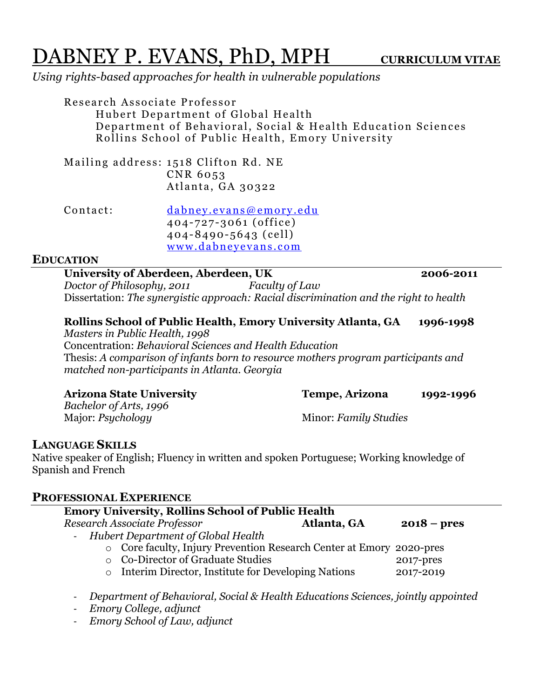# DABNEY P. EVANS, PhD, MPH **CURRICULUM VITAE**

*Using rights-based approaches for health in vulnerable populations*

Research Associate Professor Hubert Department of Global Health Department of Behavioral, Social & Health Education Sciences Rollins School of Public Health, Emory University

Mailing address: 1518 Clifton Rd. NE CNR 6053 Atlanta, GA 3032 2

Contact: dabney.evans@emory.edu 404-72 7-3061 (office) 404-8490-5643 (cell) www.dabneyevans.com

## **EDUCATION**

**University of Aberdeen, Aberdeen, UK 2006-2011** *Doctor of Philosophy, 2011 Faculty of Law* Dissertation: *The synergistic approach: Racial discrimination and the right to health* 

## **Rollins School of Public Health, Emory University Atlanta, GA 1996-1998**

*Masters in Public Health, 1998*  Concentration: *Behavioral Sciences and Health Education* Thesis: *A comparison of infants born to resource mothers program participants and matched non-participants in Atlanta. Georgia*

| <b>Arizona State University</b> | Tempe, Arizona        | 1992-1996 |
|---------------------------------|-----------------------|-----------|
| Bachelor of Arts, 1996          |                       |           |
| Major: <i>Psychology</i>        | Minor: Family Studies |           |

# **LANGUAGE SKILLS**

Native speaker of English; Fluency in written and spoken Portuguese; Working knowledge of Spanish and French

## **PROFESSIONAL EXPERIENCE**

| <b>Emory University, Rollins School of Public Health</b>             |  |               |
|----------------------------------------------------------------------|--|---------------|
| Research Associate Professor<br>Atlanta, GA                          |  | $2018 - pres$ |
| - Hubert Department of Global Health                                 |  |               |
| o Core faculty, Injury Prevention Research Center at Emory 2020-pres |  |               |
| ○ Co-Director of Graduate Studies                                    |  | 2017-pres     |
| Interim Director, Institute for Developing Nations<br>$\circ$        |  | 2017-2019     |
|                                                                      |  |               |
|                                                                      |  |               |

- *Department of Behavioral, Social & Health Educations Sciences, jointly appointed*

- *Emory College, adjunct*
- *Emory School of Law, adjunct*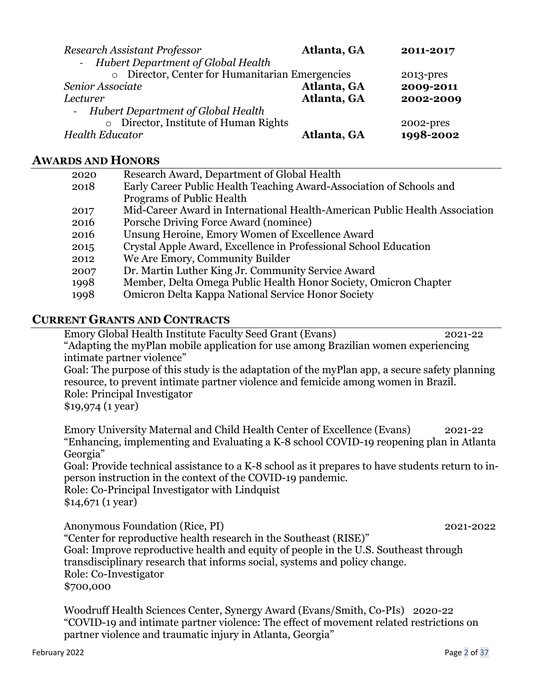| Research Assistant Professor                    | Atlanta, GA | 2011-2017 |
|-------------------------------------------------|-------------|-----------|
| - Hubert Department of Global Health            |             |           |
| o Director, Center for Humanitarian Emergencies |             | 2013-pres |
| Senior Associate                                | Atlanta, GA | 2009-2011 |
| Lecturer                                        | Atlanta, GA | 2002-2009 |
| - Hubert Department of Global Health            |             |           |
| $\circ$ Director, Institute of Human Rights     |             | 2002-pres |
| <b>Health Educator</b>                          | Atlanta, GA | 1998-2002 |
|                                                 |             |           |

# **AWARDS AND HONORS**

| 2020 | Research Award, Department of Global Health                                 |
|------|-----------------------------------------------------------------------------|
| 2018 | Early Career Public Health Teaching Award-Association of Schools and        |
|      | Programs of Public Health                                                   |
| 2017 | Mid-Career Award in International Health-American Public Health Association |
| 2016 | Porsche Driving Force Award (nominee)                                       |
| 2016 | Unsung Heroine, Emory Women of Excellence Award                             |
| 2015 | Crystal Apple Award, Excellence in Professional School Education            |
| 2012 | We Are Emory, Community Builder                                             |
| 2007 | Dr. Martin Luther King Jr. Community Service Award                          |
| 1998 | Member, Delta Omega Public Health Honor Society, Omicron Chapter            |
| 1998 | Omicron Delta Kappa National Service Honor Society                          |
|      |                                                                             |

# **CURRENT GRANTS AND CONTRACTS**

Emory Global Health Institute Faculty Seed Grant (Evans) 2021-22 "Adapting the myPlan mobile application for use among Brazilian women experiencing intimate partner violence" Goal: The purpose of this study is the adaptation of the myPlan app, a secure safety planning resource, to prevent intimate partner violence and femicide among women in Brazil. Role: Principal Investigator \$19,974 (1 year) Emory University Maternal and Child Health Center of Excellence (Evans) 2021-22 "Enhancing, implementing and Evaluating a K-8 school COVID-19 reopening plan in Atlanta Georgia" Goal: Provide technical assistance to a K-8 school as it prepares to have students return to inperson instruction in the context of the COVID-19 pandemic. Role: Co-Principal Investigator with Lindquist \$14,671 (1 year)

Anonymous Foundation (Rice, PI) 2021-2022 "Center for reproductive health research in the Southeast (RISE)" Goal: Improve reproductive health and equity of people in the U.S. Southeast through transdisciplinary research that informs social, systems and policy change. Role: Co-Investigator \$700,000

Woodruff Health Sciences Center, Synergy Award (Evans/Smith, Co-PIs) 2020-22 "COVID-19 and intimate partner violence: The effect of movement related restrictions on partner violence and traumatic injury in Atlanta, Georgia"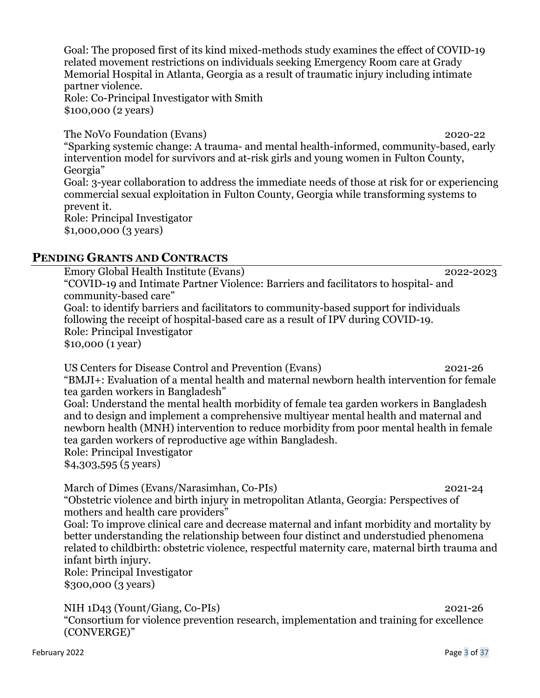Goal: The proposed first of its kind mixed-methods study examines the effect of COVID-19 related movement restrictions on individuals seeking Emergency Room care at Grady Memorial Hospital in Atlanta, Georgia as a result of traumatic injury including intimate partner violence. Role: Co-Principal Investigator with Smith \$100,000 (2 years)

The NoVo Foundation (Evans) 2020-22 "Sparking systemic change: A trauma- and mental health-informed, community-based, early intervention model for survivors and at-risk girls and young women in Fulton County, Georgia" Goal: 3-year collaboration to address the immediate needs of those at risk for or experiencing commercial sexual exploitation in Fulton County, Georgia while transforming systems to prevent it. Role: Principal Investigator \$1,000,000 (3 years)

## **PENDING GRANTS AND CONTRACTS**

Emory Global Health Institute (Evans) 2022-2023 "COVID-19 and Intimate Partner Violence: Barriers and facilitators to hospital- and community-based care" Goal: to identify barriers and facilitators to community-based support for individuals following the receipt of hospital-based care as a result of IPV during COVID-19. Role: Principal Investigator \$10,000 (1 year)

US Centers for Disease Control and Prevention (Evans) 2021-26 "BMJI+: Evaluation of a mental health and maternal newborn health intervention for female tea garden workers in Bangladesh"

Goal: Understand the mental health morbidity of female tea garden workers in Bangladesh and to design and implement a comprehensive multiyear mental health and maternal and newborn health (MNH) intervention to reduce morbidity from poor mental health in female tea garden workers of reproductive age within Bangladesh. Role: Principal Investigator

\$4,303,595 (5 years)

March of Dimes (Evans/Narasimhan, Co-PIs) 2021-24 "Obstetric violence and birth injury in metropolitan Atlanta, Georgia: Perspectives of mothers and health care providers"

Goal: To improve clinical care and decrease maternal and infant morbidity and mortality by better understanding the relationship between four distinct and understudied phenomena related to childbirth: obstetric violence, respectful maternity care, maternal birth trauma and infant birth injury.

Role: Principal Investigator \$300,000 (3 years)

NIH 1D43 (Yount/Giang, Co-PIs) 2021-26 "Consortium for violence prevention research, implementation and training for excellence (CONVERGE)"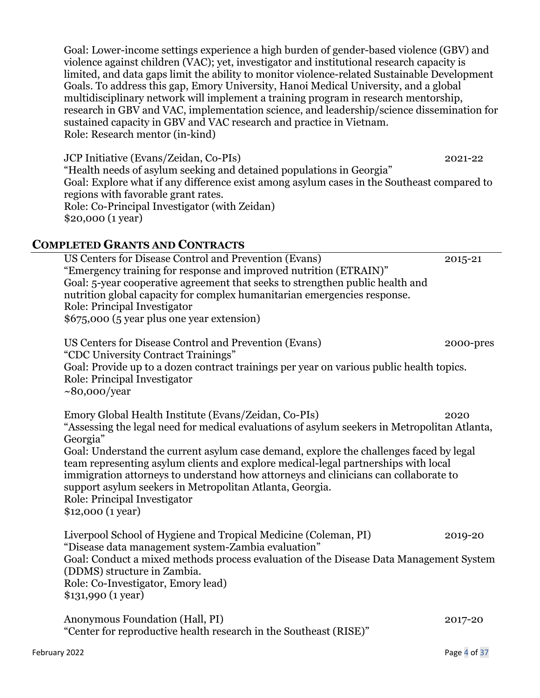Goal: Lower-income settings experience a high burden of gender-based violence (GBV) and violence against children (VAC); yet, investigator and institutional research capacity is limited, and data gaps limit the ability to monitor violence-related Sustainable Development Goals. To address this gap, Emory University, Hanoi Medical University, and a global multidisciplinary network will implement a training program in research mentorship, research in GBV and VAC, implementation science, and leadership/science dissemination for sustained capacity in GBV and VAC research and practice in Vietnam. Role: Research mentor (in-kind)

JCP Initiative (Evans/Zeidan, Co-PIs) 2021-22 "Health needs of asylum seeking and detained populations in Georgia" Goal: Explore what if any difference exist among asylum cases in the Southeast compared to regions with favorable grant rates. Role: Co-Principal Investigator (with Zeidan) \$20,000 (1 year)

## **COMPLETED GRANTS AND CONTRACTS**

US Centers for Disease Control and Prevention (Evans) 2015-21 "Emergency training for response and improved nutrition (ETRAIN)" Goal: 5-year cooperative agreement that seeks to strengthen public health and nutrition global capacity for complex humanitarian emergencies response. Role: Principal Investigator \$675,000 (5 year plus one year extension) US Centers for Disease Control and Prevention (Evans) 2000-pres "CDC University Contract Trainings" Goal: Provide up to a dozen contract trainings per year on various public health topics. Role: Principal Investigator ~80,000/year Emory Global Health Institute (Evans/Zeidan, Co-PIs) 2020 "Assessing the legal need for medical evaluations of asylum seekers in Metropolitan Atlanta, Georgia" Goal: Understand the current asylum case demand, explore the challenges faced by legal team representing asylum clients and explore medical-legal partnerships with local immigration attorneys to understand how attorneys and clinicians can collaborate to

support asylum seekers in Metropolitan Atlanta, Georgia. Role: Principal Investigator

\$12,000 (1 year)

Liverpool School of Hygiene and Tropical Medicine (Coleman, PI) 2019-20 "Disease data management system-Zambia evaluation" Goal: Conduct a mixed methods process evaluation of the Disease Data Management System (DDMS) structure in Zambia. Role: Co-Investigator, Emory lead) \$131,990 (1 year)

Anonymous Foundation (Hall, PI) 2017-20 "Center for reproductive health research in the Southeast (RISE)"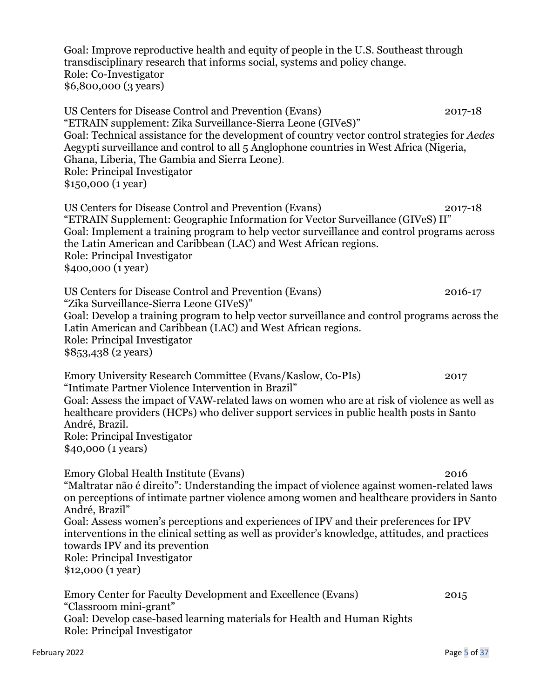Goal: Improve reproductive health and equity of people in the U.S. Southeast through transdisciplinary research that informs social, systems and policy change. Role: Co-Investigator \$6,800,000 (3 years)

US Centers for Disease Control and Prevention (Evans) 2017-18 "ETRAIN supplement: Zika Surveillance-Sierra Leone (GIVeS)" Goal: Technical assistance for the development of country vector control strategies for *Aedes*  Aegypti surveillance and control to all 5 Anglophone countries in West Africa (Nigeria, Ghana, Liberia, The Gambia and Sierra Leone). Role: Principal Investigator \$150,000 (1 year)

US Centers for Disease Control and Prevention (Evans) 2017-18 "ETRAIN Supplement: Geographic Information for Vector Surveillance (GIVeS) II" Goal: Implement a training program to help vector surveillance and control programs across the Latin American and Caribbean (LAC) and West African regions. Role: Principal Investigator \$40o,000 (1 year)

US Centers for Disease Control and Prevention (Evans) 2016-17 "Zika Surveillance-Sierra Leone GIVeS)" Goal: Develop a training program to help vector surveillance and control programs across the Latin American and Caribbean (LAC) and West African regions. Role: Principal Investigator \$853,438 (2 years)

Emory University Research Committee (Evans/Kaslow, Co-PIs) 2017 "Intimate Partner Violence Intervention in Brazil" Goal: Assess the impact of VAW-related laws on women who are at risk of violence as well as healthcare providers (HCPs) who deliver support services in public health posts in Santo André, Brazil. Role: Principal Investigator \$40,000 (1 years)

Emory Global Health Institute (Evans) 2016 "Maltratar não é direito": Understanding the impact of violence against women-related laws on perceptions of intimate partner violence among women and healthcare providers in Santo André, Brazil" Goal: Assess women's perceptions and experiences of IPV and their preferences for IPV interventions in the clinical setting as well as provider's knowledge, attitudes, and practices towards IPV and its prevention Role: Principal Investigator \$12,000 (1 year)

Emory Center for Faculty Development and Excellence (Evans) 2015 "Classroom mini-grant" Goal: Develop case-based learning materials for Health and Human Rights Role: Principal Investigator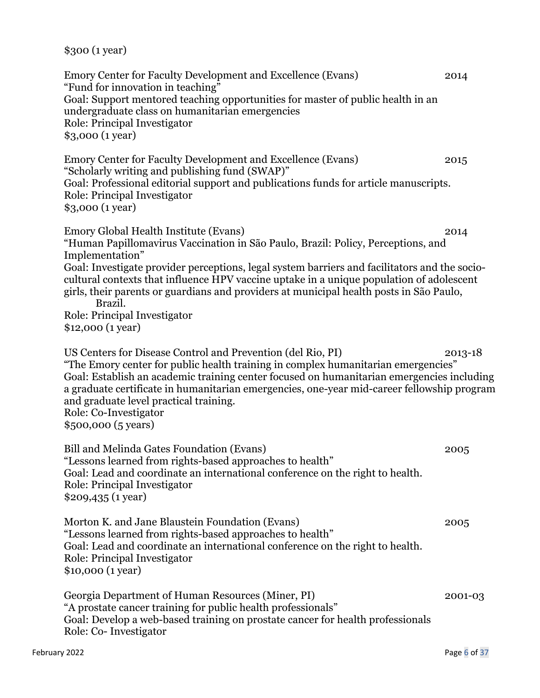\$300 (1 year)

"Fund for innovation in teaching" Goal: Support mentored teaching opportunities for master of public health in an undergraduate class on humanitarian emergencies Role: Principal Investigator \$3,000 (1 year) Emory Center for Faculty Development and Excellence (Evans) 2015 "Scholarly writing and publishing fund (SWAP)" Goal: Professional editorial support and publications funds for article manuscripts. Role: Principal Investigator \$3,000 (1 year) Emory Global Health Institute (Evans) 2014 "Human Papillomavirus Vaccination in São Paulo, Brazil: Policy, Perceptions, and Implementation" Goal: Investigate provider perceptions, legal system barriers and facilitators and the sociocultural contexts that influence HPV vaccine uptake in a unique population of adolescent girls, their parents or guardians and providers at municipal health posts in São Paulo, Brazil. Role: Principal Investigator \$12,000 (1 year) US Centers for Disease Control and Prevention (del Rio, PI) 2013-18 "The Emory center for public health training in complex humanitarian emergencies" Goal: Establish an academic training center focused on humanitarian emergencies including a graduate certificate in humanitarian emergencies, one-year mid-career fellowship program and graduate level practical training. Role: Co-Investigator \$500,000 (5 years) Bill and Melinda Gates Foundation (Evans) 2005 "Lessons learned from rights-based approaches to health" Goal: Lead and coordinate an international conference on the right to health. Role: Principal Investigator \$209,435 (1 year) Morton K. and Jane Blaustein Foundation (Evans) 2005 "Lessons learned from rights-based approaches to health" Goal: Lead and coordinate an international conference on the right to health. Role: Principal Investigator \$10,000 (1 year) Georgia Department of Human Resources (Miner, PI) 2001-03 "A prostate cancer training for public health professionals" Goal: Develop a web-based training on prostate cancer for health professionals

Emory Center for Faculty Development and Excellence (Evans) 2014

Role: Co- Investigator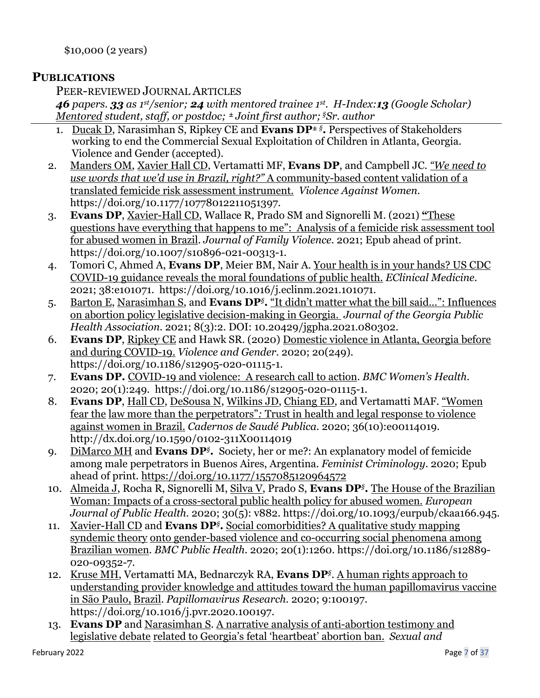\$10,000 (2 years)

# **PUBLICATIONS**

PEER-REVIEWED JOURNAL ARTICLES

*46 papers. 33 as 1st/senior; 24 with mentored trainee 1st. H-Index:13 (Google Scholar) Mentored student, staff, or postdoc;* **<sup>±</sup>** *Joint first author; §Sr. author*

- 1. Ducak D, Narasimhan S, Ripkey CE and **Evans DP±** *§***.** Perspectives of Stakeholders working to end the Commercial Sexual Exploitation of Children in Atlanta, Georgia. Violence and Gender (accepted).
- 2. Manders OM, Xavier Hall CD, Vertamatti MF, **Evans DP**, and Campbell JC. *"We need to use words that we'd use in Brazil, right?"* A community-based content validation of a translated femicide risk assessment instrument. *Violence Against Women*. https://doi.org/10.1177/10778012211051397.
- 3. **Evans DP**, Xavier-Hall CD, Wallace R, Prado SM and Signorelli M. (2021) **"**These questions have everything that happens to me": Analysis of a femicide risk assessment tool for abused women in Brazil. *Journal of Family Violence.* 2021; Epub ahead of print. https://doi.org/10.1007/s10896-021-00313-1.
- 4. Tomori C, Ahmed A, **Evans DP**, Meier BM, Nair A. Your health is in your hands? US CDC COVID-19 guidance reveals the moral foundations of public health. *EClinical Medicine.* 2021; 38:e101071. https://doi.org/10.1016/j.eclinm.2021.101071.
- 5. Barton E, Narasimhan S, and **Evans DP***§***.** "It didn't matter what the bill said...": Influences on abortion policy legislative decision-making in Georgia. *Journal of the Georgia Public Health Association*. 2021; 8(3):2. DOI: 10.20429/jgpha.2021.080302.
- 6. **Evans DP**, Ripkey CE and Hawk SR. (2020) Domestic violence in Atlanta, Georgia before and during COVID-19. *Violence and Gender*. 2020; 20(249). https://doi.org/10.1186/s12905-020-01115-1.
- 7. **Evans DP.** COVID-19 and violence: A research call to action. *BMC Women's Health*. 2020; 20(1):249. https://doi.org/10.1186/s12905-020-01115-1.
- 8. **Evans DP**, Hall CD, DeSousa N, Wilkins JD, Chiang ED, and Vertamatti MAF. "Women fear the law more than the perpetrators"*:* Trust in health and legal response to violence against women in Brazil. *Cadernos de Saudé Publica.* 2020; 36(10):e00114019. http://dx.doi.org/10.1590/0102-311X00114019
- 9. DiMarco MH and **Evans DP***§***.** Society, her or me?: An explanatory model of femicide among male perpetrators in Buenos Aires, Argentina. *Feminist Criminology*. 2020; Epub ahead of print. https://doi.org/10.1177/1557085120964572
- 10. Almeida J, Rocha R, Signorelli M, Silva V, Prado S, **Evans DP***§***.** The House of the Brazilian Woman: Impacts of a cross-sectoral public health policy for abused women. *European Journal of Public Health*. 2020; 30(5): v882. https://doi.org/10.1093/eurpub/ckaa166.945.
- 11. Xavier-Hall CD and **Evans DP***§***.** Social comorbidities? A qualitative study mapping syndemic theory onto gender-based violence and co-occurring social phenomena among Brazilian women. *BMC Public Health.* 2020; 20(1):1260. https://doi.org/10.1186/s12889- 020-09352-7.
- 12. Kruse MH, Vertamatti MA, Bednarczyk RA, **Evans DP***§*. A human rights approach to understanding provider knowledge and attitudes toward the human papillomavirus vaccine in São Paulo, Brazil. *Papillomavirus Research.* 2020; 9:100197. https://doi.org/10.1016/j.pvr.2020.100197.
- 13. **Evans DP** and Narasimhan S. A narrative analysis of anti-abortion testimony and legislative debate related to Georgia's fetal 'heartbeat' abortion ban. *Sexual and*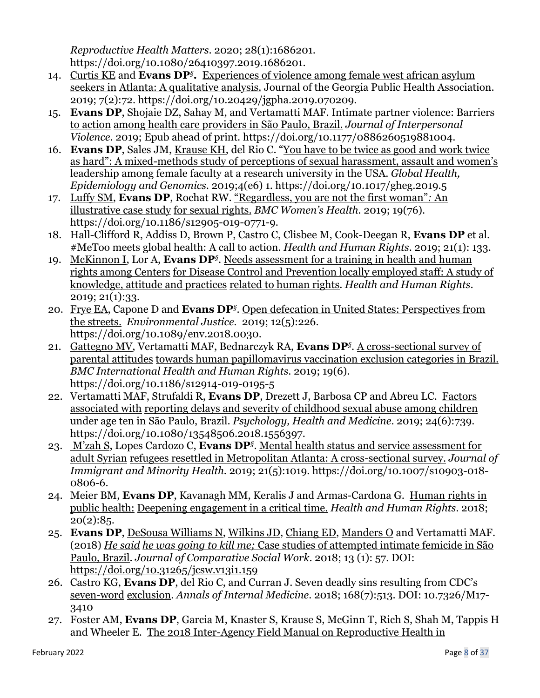*Reproductive Health Matters*. 2020; 28(1):1686201. https://doi.org/10.1080/26410397.2019.1686201.

- 14. Curtis KE and **Evans DP***§***.** Experiences of violence among female west african asylum seekers in Atlanta: A qualitative analysis. Journal of the Georgia Public Health Association. 2019; 7(2):72. https://doi.org/10.20429/jgpha.2019.070209.
- 15. **Evans DP**, Shojaie DZ, Sahay M, and Vertamatti MAF. Intimate partner violence: Barriers to action among health care providers in São Paulo, Brazil. *Journal of Interpersonal Violence*. 2019; Epub ahead of print. https://doi.org/10.1177/0886260519881004.
- 16. **Evans DP**, Sales JM, Krause KH, del Rio C. "You have to be twice as good and work twice as hard": A mixed-methods study of perceptions of sexual harassment, assault and women's leadership among female faculty at a research university in the USA. *Global Health, Epidemiology and Genomics*. 2019;4(e6) 1. https://doi.org/10.1017/gheg.2019.5
- 17. Luffy SM, **Evans DP**, Rochat RW. "Regardless, you are not the first woman"*:* An illustrative case study for sexual rights. *BMC Women's Health.* 2019; 19(76). https://doi.org/10.1186/s12905-019-0771-9.
- 18. Hall-Clifford R, Addiss D, Brown P, Castro C, Clisbee M, Cook-Deegan R, **Evans DP** et al. #MeToo meets global health: A call to action. *Health and Human Rights*. 2019; 21(1): 133.
- 19. McKinnon I, Lor A, **Evans DP***§*. Needs assessment for a training in health and human rights among Centers for Disease Control and Prevention locally employed staff: A study of knowledge, attitude and practices related to human rights. *Health and Human Rights*. 2019; 21(1):33.
- 20. Frye EA, Capone D and **Evans DP***§*. Open defecation in United States: Perspectives from the streets. *Environmental Justice.* 2019; 12(5):226. https://doi.org/10.1089/env.2018.0030.
- 21. Gattegno MV, Vertamatti MAF, Bednarczyk RA, **Evans DP***§*. A cross-sectional survey of parental attitudes towards human papillomavirus vaccination exclusion categories in Brazil. *BMC International Health and Human Rights*. 2019; 19(6). https://doi.org/10.1186/s12914-019-0195-5
- 22. Vertamatti MAF, Strufaldi R, **Evans DP**, Drezett J, Barbosa CP and Abreu LC. Factors associated with reporting delays and severity of childhood sexual abuse among children under age ten in São Paulo, Brazil. *Psychology, Health and Medicine*. 2019; 24(6):739. https://doi.org/10.1080/13548506.2018.1556397.
- 23. M'zah S, Lopes Cardozo C, **Evans DP***§*. Mental health status and service assessment for adult Syrian refugees resettled in Metropolitan Atlanta: A cross-sectional survey. *Journal of Immigrant and Minority Health*. 2019; 21(5):1019. https://doi.org/10.1007/s10903-018- 0806-6.
- 24. Meier BM, **Evans DP**, Kavanagh MM, Keralis J and Armas-Cardona G. Human rights in public health: Deepening engagement in a critical time. *Health and Human Rights.* 2018;  $20(2):85.$
- 25. **Evans DP**, DeSousa Williams N, Wilkins JD, Chiang ED, Manders O and Vertamatti MAF. (2018) *He said he was going to kill me;* Case studies of attempted intimate femicide in São Paulo, Brazil. *Journal of Comparative Social Work*. 2018; 13 (1): 57. DOI: https://doi.org/10.31265/jcsw.v13i1.159
- 26. Castro KG, **Evans DP**, del Rio C, and Curran J. Seven deadly sins resulting from CDC's seven-word exclusion. *Annals of Internal Medicine*. 2018; 168(7):513. DOI: 10.7326/M17- 3410
- 27. Foster AM, **Evans DP**, Garcia M, Knaster S, Krause S, McGinn T, Rich S, Shah M, Tappis H and Wheeler E. The 2018 Inter-Agency Field Manual on Reproductive Health in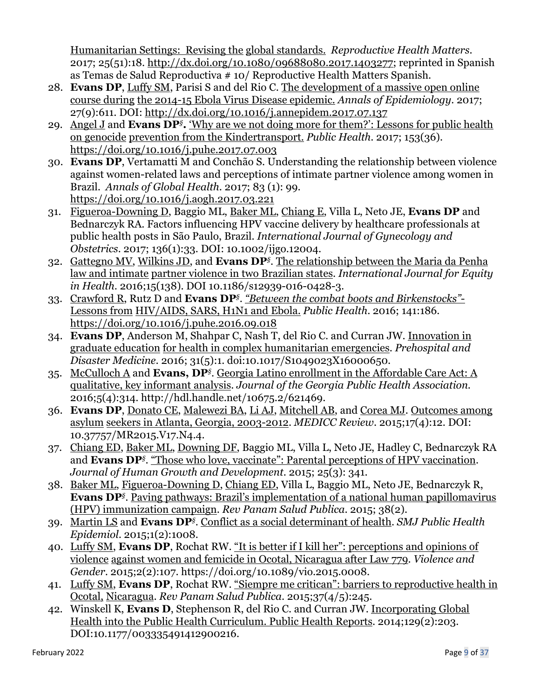Humanitarian Settings: Revising the global standards. *Reproductive Health Matters*. 2017; 25(51):18. http://dx.doi.org/10.1080/09688080.2017.1403277; reprinted in Spanish as Temas de Salud Reproductiva # 10/ Reproductive Health Matters Spanish.

- 28. **Evans DP**, Luffy SM, Parisi S and del Rio C. The development of a massive open online course during the 2014-15 Ebola Virus Disease epidemic. *Annals of Epidemiology*. 2017; 27(9):611. DOI: http://dx.doi.org/10.1016/j.annepidem.2017.07.137
- 29. Angel J and **Evans DP***§***.** 'Why are we not doing more for them?': Lessons for public health on genocide prevention from the Kindertransport. *Public Health*. 2017; 153(36). https://doi.org/10.1016/j.puhe.2017.07.003
- 30. **Evans DP**, Vertamatti M and Conchão S. Understanding the relationship between violence against women-related laws and perceptions of intimate partner violence among women in Brazil. *Annals of Global Health*. 2017; 83 (1): 99. https://doi.org/10.1016/j.aogh.2017.03.221
- 31. Figueroa-Downing D, Baggio ML, Baker ML, Chiang E, Villa L, Neto JE, **Evans DP** and Bednarczyk RA. Factors influencing HPV vaccine delivery by healthcare professionals at public health posts in São Paulo, Brazil. *International Journal of Gynecology and Obstetrics.* 2017; 136(1):33. DOI: 10.1002/ijgo.12004.
- 32. Gattegno MV, Wilkins JD, and **Evans DP***§*. The relationship between the Maria da Penha law and intimate partner violence in two Brazilian states. *International Journal for Equity in Health*. 2016;15(138). DOI 10.1186/s12939-016-0428-3.
- 33. Crawford R, Rutz D and **Evans DP***§*. *"Between the combat boots and Birkenstocks"* Lessons from HIV/AIDS, SARS, H1N1 and Ebola. *Public Health*. 2016; 141:186. https://doi.org/10.1016/j.puhe.2016.09.018
- 34. **Evans DP**, Anderson M, Shahpar C, Nash T, del Rio C. and Curran JW. Innovation in graduate education for health in complex humanitarian emergencies. *Prehospital and Disaster Medicine*. 2016; 31(5):1. doi:10.1017/S1049023X16000650.
- 35. McCulloch A and **Evans, DP***§*. Georgia Latino enrollment in the Affordable Care Act: A qualitative, key informant analysis. *Journal of the Georgia Public Health Association*. 2016;5(4):314. http://hdl.handle.net/10675.2/621469.
- 36. **Evans DP**, Donato CE, Malewezi BA, Li AJ, Mitchell AB, and Corea MJ. Outcomes among asylum seekers in Atlanta, Georgia, 2003-2012. *MEDICC Review*. 2015;17(4):12. DOI: 10.37757/MR2015.V17.N4.4.
- 37. Chiang ED, Baker ML, Downing DF, Baggio ML, Villa L, Neto JE, Hadley C, Bednarczyk RA and **Evans DP***§*. "Those who love, vaccinate": Parental perceptions of HPV vaccination. *Journal of Human Growth and Development*. 2015; 25(3): 341.
- 38. Baker ML, Figueroa-Downing D, Chiang ED, Villa L, Baggio ML, Neto JE, Bednarczyk R, **Evans DP***§*. Paving pathways: Brazil's implementation of a national human papillomavirus (HPV) immunization campaign. *Rev Panam Salud Publica*. 2015; 38(2).
- 39. Martin LS and **Evans DP***§*. Conflict as a social determinant of health. *SMJ Public Health Epidemiol*. 2015;1(2):1008.
- 40. Luffy SM, **Evans DP**, Rochat RW. "It is better if I kill her": perceptions and opinions of violence against women and femicide in Ocotal, Nicaragua after Law 779. *Violence and Gender*. 2015;2(2):107. https://doi.org/10.1089/vio.2015.0008.
- 41. Luffy SM, **Evans DP**, Rochat RW. "Siempre me critican": barriers to reproductive health in Ocotal, Nicaragua. *Rev Panam Salud Publica*. 2015;37(4/5):245.
- 42. Winskell K, **Evans D**, Stephenson R, del Rio C. and Curran JW. Incorporating Global Health into the Public Health Curriculum. Public Health Reports. 2014;129(2):203. DOI:10.1177/003335491412900216.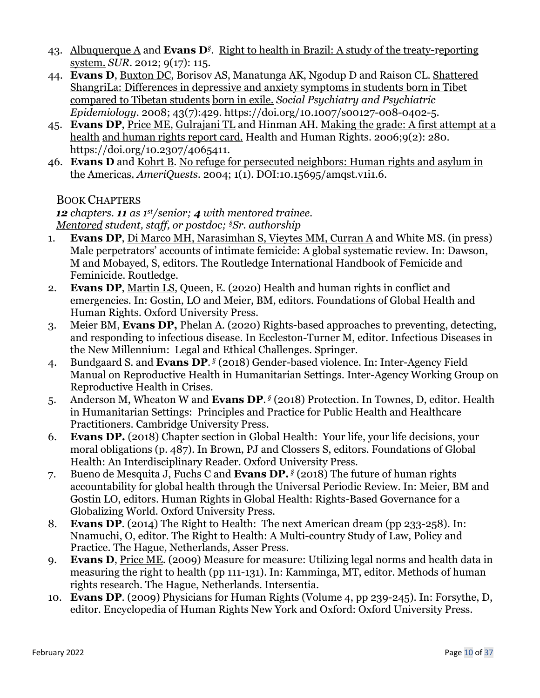- 43. Albuquerque A and **Evans D***§*. Right to health in Brazil: A study of the treaty-reporting system. *SUR*. 2012; 9(17): 115.
- 44. **Evans D**, Buxton DC, Borisov AS, Manatunga AK, Ngodup D and Raison CL. Shattered ShangriLa: Differences in depressive and anxiety symptoms in students born in Tibet compared to Tibetan students born in exile. *Social Psychiatry and Psychiatric Epidemiology*. 2008; 43(7):429. https://doi.org/10.1007/s00127-008-0402-5.
- 45. **Evans DP**, Price ME, Gulrajani TL and Hinman AH. Making the grade: A first attempt at a health and human rights report card. Health and Human Rights. 2006;9(2): 280. https://doi.org/10.2307/4065411.
- 46. **Evans D** and Kohrt B. No refuge for persecuted neighbors: Human rights and asylum in the Americas. *AmeriQuests*. 2004; 1(1). DOI:10.15695/amqst.v1i1.6.

# BOOK CHAPTERS

*12 chapters. 11 as 1st/senior; 4 with mentored trainee. Mentored student, staff, or postdoc; §Sr. authorship*

- 1. **Evans DP**, Di Marco MH, Narasimhan S, Vieytes MM, Curran A and White MS. (in press) Male perpetrators' accounts of intimate femicide: A global systematic review. In: Dawson, M and Mobayed, S, editors. The Routledge International Handbook of Femicide and Feminicide. Routledge.
- 2. **Evans DP**, Martin LS, Queen, E. (2020) Health and human rights in conflict and emergencies. In: Gostin, LO and Meier, BM, editors. Foundations of Global Health and Human Rights. Oxford University Press.
- 3. Meier BM, **Evans DP,** Phelan A. (2020) Rights-based approaches to preventing, detecting, and responding to infectious disease. In Eccleston-Turner M, editor. Infectious Diseases in the New Millennium: Legal and Ethical Challenges. Springer.
- 4. Bundgaard S. and **Evans DP**. *§* (2018) Gender-based violence. In: Inter-Agency Field Manual on Reproductive Health in Humanitarian Settings. Inter-Agency Working Group on Reproductive Health in Crises.
- 5. Anderson M, Wheaton W and **Evans DP**. *§* (2018) Protection. In Townes, D, editor. Health in Humanitarian Settings: Principles and Practice for Public Health and Healthcare Practitioners. Cambridge University Press.
- 6. **Evans DP.** (2018) Chapter section in Global Health: Your life, your life decisions, your moral obligations (p. 487). In Brown, PJ and Clossers S, editors. Foundations of Global Health: An Interdisciplinary Reader. Oxford University Press.
- 7. Bueno de Mesquita J, Fuchs C and **Evans DP.** *§* (2018) The future of human rights accountability for global health through the Universal Periodic Review. In: Meier, BM and Gostin LO, editors. Human Rights in Global Health: Rights-Based Governance for a Globalizing World. Oxford University Press.
- 8. **Evans DP**. (2014) The Right to Health: The next American dream (pp 233-258). In: Nnamuchi, O, editor. The Right to Health: A Multi-country Study of Law, Policy and Practice. The Hague, Netherlands, Asser Press.
- 9. **Evans D**, Price ME. (2009) Measure for measure: Utilizing legal norms and health data in measuring the right to health (pp 111-131). In: Kamminga, MT, editor. Methods of human rights research. The Hague, Netherlands. Intersentia.
- 10. **Evans DP**. (2009) Physicians for Human Rights (Volume 4, pp 239-245). In: Forsythe, D, editor. Encyclopedia of Human Rights New York and Oxford: Oxford University Press.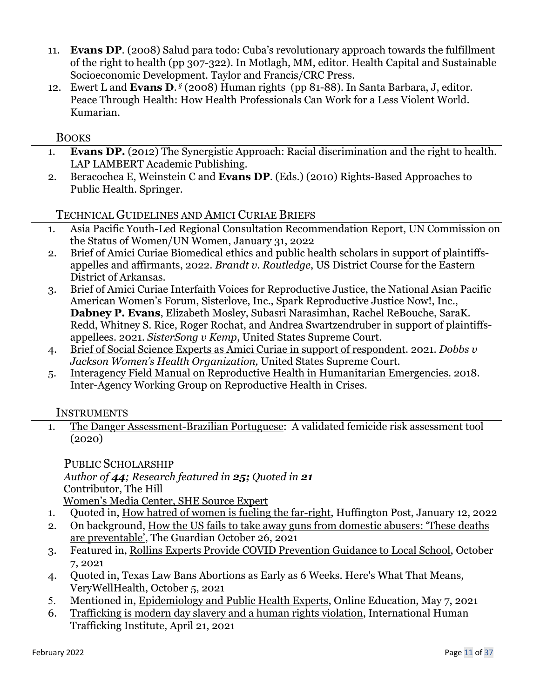- 11. **Evans DP**. (2008) Salud para todo: Cuba's revolutionary approach towards the fulfillment of the right to health (pp 307-322). In Motlagh, MM, editor. Health Capital and Sustainable Socioeconomic Development. Taylor and Francis/CRC Press.
- 12. Ewert L and **Evans D**. *§* (2008) Human rights (pp 81-88). In Santa Barbara, J, editor. Peace Through Health: How Health Professionals Can Work for a Less Violent World. Kumarian.

# **BOOKS**

- 1. **Evans DP.** (2012) The Synergistic Approach: Racial discrimination and the right to health. LAP LAMBERT Academic Publishing.
- 2. Beracochea E, Weinstein C and **Evans DP**. (Eds.) (2010) Rights-Based Approaches to Public Health. Springer.

# TECHNICAL GUIDELINES AND AMICI CURIAE BRIEFS

- 1. Asia Pacific Youth-Led Regional Consultation Recommendation Report, UN Commission on the Status of Women/UN Women, January 31, 2022
- 2. Brief of Amici Curiae Biomedical ethics and public health scholars in support of plaintiffsappelles and affirmants, 2022. *Brandt v. Routledge*, US District Course for the Eastern District of Arkansas.
- 3. Brief of Amici Curiae Interfaith Voices for Reproductive Justice, the National Asian Pacific American Women's Forum, Sisterlove, Inc., Spark Reproductive Justice Now!, Inc., **Dabney P. Evans**, Elizabeth Mosley, Subasri Narasimhan, Rachel ReBouche, SaraK. Redd, Whitney S. Rice, Roger Rochat, and Andrea Swartzendruber in support of plaintiffsappellees. 2021. *SisterSong v Kemp*, United States Supreme Court.
- 4. Brief of Social Science Experts as Amici Curiae in support of respondent. 2021. *Dobbs v Jackson Women's Health Organization,* United States Supreme Court.
- 5. Interagency Field Manual on Reproductive Health in Humanitarian Emergencies. 2018. Inter-Agency Working Group on Reproductive Health in Crises.

# **INSTRUMENTS**

1. The Danger Assessment-Brazilian Portuguese: A validated femicide risk assessment tool (2020)

PUBLIC SCHOLARSHIP *Author of 44; Research featured in 25; Quoted in 21* Contributor, The Hill

Women's Media Center, SHE Source Expert

- 1. Quoted in, How hatred of women is fueling the far-right, Huffington Post, January 12, 2022
- 2. On background, How the US fails to take away guns from domestic abusers: 'These deaths are preventable', The Guardian October 26, 2021
- 3. Featured in, Rollins Experts Provide COVID Prevention Guidance to Local School, October 7, 2021
- 4. Quoted in, Texas Law Bans Abortions as Early as 6 Weeks. Here's What That Means, VeryWellHealth, October 5, 2021
- 5. Mentioned in, Epidemiology and Public Health Experts, Online Education, May 7, 2021
- 6. Trafficking is modern day slavery and a human rights violation, International Human Trafficking Institute, April 21, 2021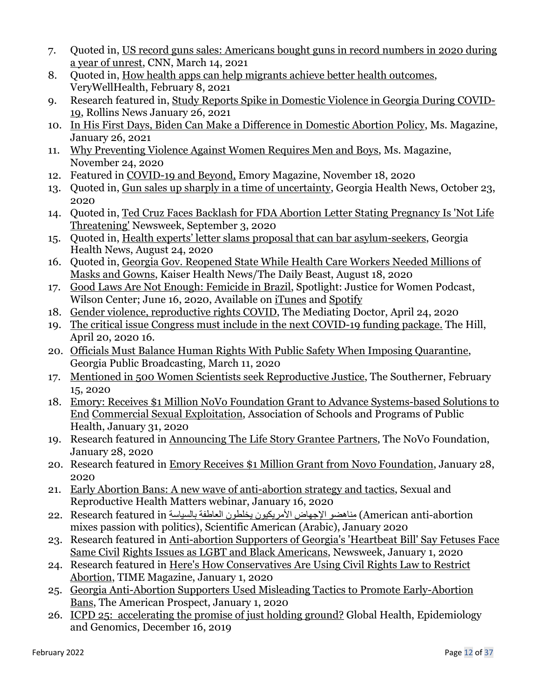- 7. Quoted in, US record guns sales: Americans bought guns in record numbers in 2020 during a year of unrest, CNN, March 14, 2021
- 8. Quoted in, How health apps can help migrants achieve better health outcomes, VeryWellHealth, February 8, 2021
- 9. Research featured in, Study Reports Spike in Domestic Violence in Georgia During COVID-19, Rollins News January 26, 2021
- 10. In His First Days, Biden Can Make a Difference in Domestic Abortion Policy, Ms. Magazine, January 26, 2021
- 11. Why Preventing Violence Against Women Requires Men and Boys, Ms. Magazine, November 24, 2020
- 12. Featured in COVID-19 and Beyond, Emory Magazine, November 18, 2020
- 13. Quoted in, Gun sales up sharply in a time of uncertainty, Georgia Health News, October 23, 2020
- 14. Quoted in, Ted Cruz Faces Backlash for FDA Abortion Letter Stating Pregnancy Is 'Not Life Threatening' Newsweek, September 3, 2020
- 15. Quoted in, Health experts' letter slams proposal that can bar asylum-seekers, Georgia Health News, August 24, 2020
- 16. Quoted in, Georgia Gov. Reopened State While Health Care Workers Needed Millions of Masks and Gowns, Kaiser Health News/The Daily Beast, August 18, 2020
- 17. Good Laws Are Not Enough: Femicide in Brazil, Spotlight: Justice for Women Podcast, Wilson Center; June 16, 2020, Available on iTunes and Spotify
- 18. Gender violence, reproductive rights COVID, The Mediating Doctor, April 24, 2020
- 19. The critical issue Congress must include in the next COVID-19 funding package. The Hill, April 20, 2020 16.
- 20. Officials Must Balance Human Rights With Public Safety When Imposing Quarantine, Georgia Public Broadcasting, March 11, 2020
- 17. Mentioned in 500 Women Scientists seek Reproductive Justice, The Southerner, February 15, 2020
- 18. Emory: Receives \$1 Million NoVo Foundation Grant to Advance Systems-based Solutions to End Commercial Sexual Exploitation, Association of Schools and Programs of Public Health, January 31, 2020
- 19. Research featured in Announcing The Life Story Grantee Partners, The NoVo Foundation, January 28, 2020
- 20. Research featured in Emory Receives \$1 Million Grant from Novo Foundation, January 28, 2020
- 21. Early Abortion Bans: A new wave of anti-abortion strategy and tactics, Sexual and Reproductive Health Matters webinar, January 16, 2020
- abortion) American anti-abortion) مناهضو الإجهاض الأمريكيون يخلطون العاطفة بالسياسة American anti-abortion mixes passion with politics), Scientific American (Arabic), January 2020
- 23. Research featured in Anti-abortion Supporters of Georgia's 'Heartbeat Bill' Say Fetuses Face Same Civil Rights Issues as LGBT and Black Americans, Newsweek, January 1, 2020
- 24. Research featured in Here's How Conservatives Are Using Civil Rights Law to Restrict Abortion, TIME Magazine, January 1, 2020
- 25. Georgia Anti-Abortion Supporters Used Misleading Tactics to Promote Early-Abortion Bans, The American Prospect, January 1, 2020
- 26. ICPD 25: accelerating the promise of just holding ground? Global Health, Epidemiology and Genomics, December 16, 2019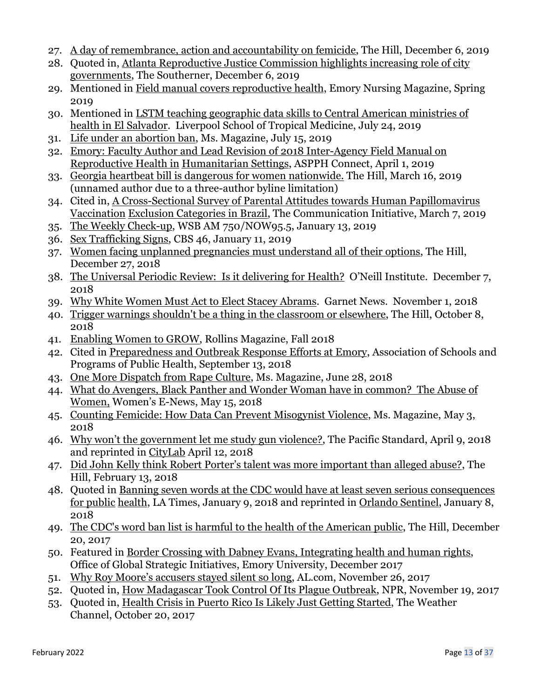- 27. A day of remembrance, action and accountability on femicide, The Hill, December 6, 2019
- 28. Quoted in, Atlanta Reproductive Justice Commission highlights increasing role of city governments, The Southerner, December 6, 2019
- 29. Mentioned in Field manual covers reproductive health, Emory Nursing Magazine, Spring 2019
- 30. Mentioned in LSTM teaching geographic data skills to Central American ministries of health in El Salvador. Liverpool School of Tropical Medicine, July 24, 2019
- 31. Life under an abortion ban, Ms. Magazine, July 15, 2019
- 32. Emory: Faculty Author and Lead Revision of 2018 Inter-Agency Field Manual on Reproductive Health in Humanitarian Settings, ASPPH Connect, April 1, 2019
- 33. Georgia heartbeat bill is dangerous for women nationwide. The Hill, March 16, 2019 (unnamed author due to a three-author byline limitation)
- 34. Cited in, A Cross-Sectional Survey of Parental Attitudes towards Human Papillomavirus Vaccination Exclusion Categories in Brazil, The Communication Initiative, March 7, 2019
- 35. The Weekly Check-up, WSB AM 750/NOW95.5, January 13, 2019
- 36. Sex Trafficking Signs, CBS 46, January 11, 2019
- 37. Women facing unplanned pregnancies must understand all of their options, The Hill, December 27, 2018
- 38. The Universal Periodic Review: Is it delivering for Health? O'Neill Institute. December 7, 2018
- 39. Why White Women Must Act to Elect Stacey Abrams. Garnet News. November 1, 2018
- 40. Trigger warnings shouldn't be a thing in the classroom or elsewhere, The Hill, October 8, 2018
- 41. Enabling Women to GROW, Rollins Magazine, Fall 2018
- 42. Cited in Preparedness and Outbreak Response Efforts at Emory, Association of Schools and Programs of Public Health, September 13, 2018
- 43. One More Dispatch from Rape Culture, Ms. Magazine, June 28, 2018
- 44. What do Avengers, Black Panther and Wonder Woman have in common? The Abuse of Women, Women's E-News, May 15, 2018
- 45. Counting Femicide: How Data Can Prevent Misogynist Violence, Ms. Magazine, May 3, 2018
- 46. Why won't the government let me study gun violence?, The Pacific Standard, April 9, 2018 and reprinted in CityLab April 12, 2018
- 47. Did John Kelly think Robert Porter's talent was more important than alleged abuse?, The Hill, February 13, 2018
- 48. Quoted in Banning seven words at the CDC would have at least seven serious consequences for public health, LA Times, January 9, 2018 and reprinted in Orlando Sentinel, January 8, 2018
- 49. The CDC's word ban list is harmful to the health of the American public, The Hill, December 20, 2017
- 50. Featured in Border Crossing with Dabney Evans, Integrating health and human rights, Office of Global Strategic Initiatives, Emory University, December 2017
- 51. Why Roy Moore's accusers stayed silent so long, AL.com, November 26, 2017
- 52. Quoted in, How Madagascar Took Control Of Its Plague Outbreak, NPR, November 19, 2017
- 53. Quoted in, Health Crisis in Puerto Rico Is Likely Just Getting Started, The Weather Channel, October 20, 2017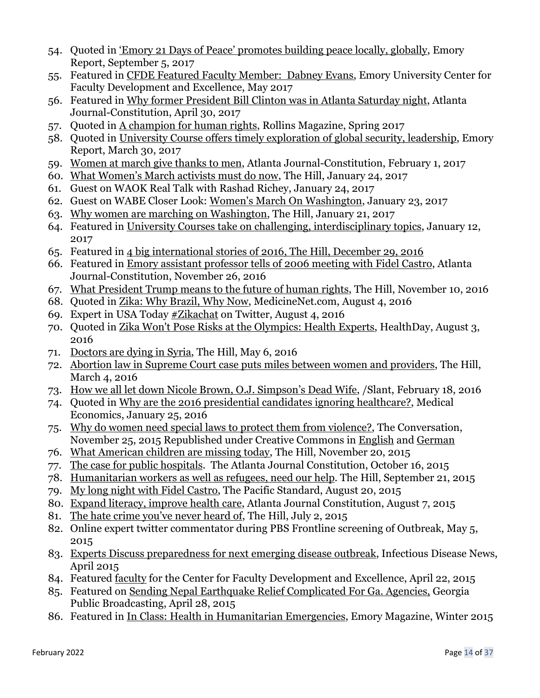- 54. Quoted in 'Emory 21 Days of Peace' promotes building peace locally, globally, Emory Report, September 5, 2017
- 55. Featured in CFDE Featured Faculty Member: Dabney Evans, Emory University Center for Faculty Development and Excellence, May 2017
- 56. Featured in Why former President Bill Clinton was in Atlanta Saturday night, Atlanta Journal-Constitution, April 30, 2017
- 57. Quoted in A champion for human rights, Rollins Magazine, Spring 2017
- 58. Quoted in University Course offers timely exploration of global security, leadership, Emory Report, March 30, 2017
- 59. Women at march give thanks to men, Atlanta Journal-Constitution, February 1, 2017
- 60. What Women's March activists must do now, The Hill, January 24, 2017
- 61. Guest on WAOK Real Talk with Rashad Richey, January 24, 2017
- 62. Guest on WABE Closer Look: Women's March On Washington, January 23, 2017
- 63. Why women are marching on Washington, The Hill, January 21, 2017
- 64. Featured in University Courses take on challenging, interdisciplinary topics, January 12, 2017
- 65. Featured in 4 big international stories of 2016, The Hill, December 29, 2016
- 66. Featured in Emory assistant professor tells of 2006 meeting with Fidel Castro, Atlanta Journal-Constitution, November 26, 2016
- 67. What President Trump means to the future of human rights, The Hill, November 10, 2016
- 68. Quoted in Zika: Why Brazil, Why Now, MedicineNet.com, August 4, 2016
- 69. Expert in USA Today #Zikachat on Twitter, August 4, 2016
- 70. Quoted in Zika Won't Pose Risks at the Olympics: Health Experts, HealthDay, August 3, 2016
- 71. Doctors are dying in Syria, The Hill, May 6, 2016
- 72. Abortion law in Supreme Court case puts miles between women and providers, The Hill, March 4, 2016
- 73. How we all let down Nicole Brown, O.J. Simpson's Dead Wife, /Slant, February 18, 2016
- 74. Quoted in Why are the 2016 presidential candidates ignoring healthcare?, Medical Economics, January 25, 2016
- 75. Why do women need special laws to protect them from violence?, The Conversation, November 25, 2015 Republished under Creative Commons in English and German
- 76. What American children are missing today, The Hill, November 20, 2015
- 77. The case for public hospitals. The Atlanta Journal Constitution, October 16, 2015
- 78. Humanitarian workers as well as refugees, need our help. The Hill, September 21, 2015
- 79. My long night with Fidel Castro, The Pacific Standard, August 20, 2015
- 80. Expand literacy, improve health care, Atlanta Journal Constitution, August 7, 2015
- 81. The hate crime you've never heard of, The Hill, July 2, 2015
- 82. Online expert twitter commentator during PBS Frontline screening of Outbreak, May 5, 2015
- 83. Experts Discuss preparedness for next emerging disease outbreak, Infectious Disease News, April 2015
- 84. Featured faculty for the Center for Faculty Development and Excellence, April 22, 2015
- 85. Featured on Sending Nepal Earthquake Relief Complicated For Ga. Agencies, Georgia Public Broadcasting, April 28, 2015
- 86. Featured in In Class: Health in Humanitarian Emergencies, Emory Magazine, Winter 2015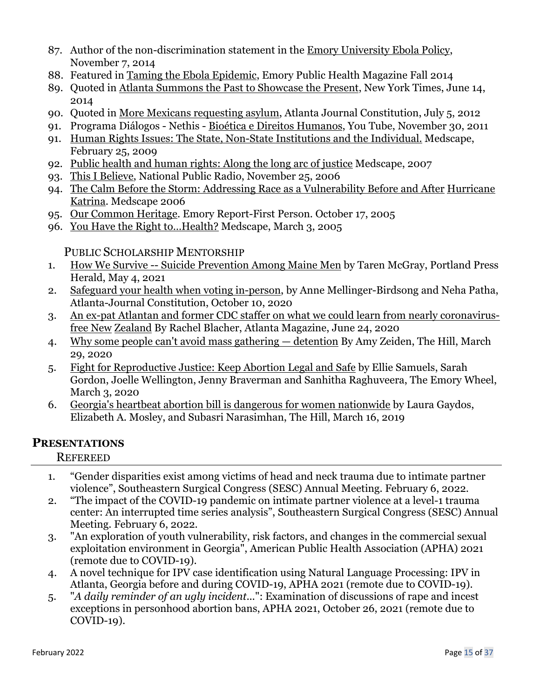- 87. Author of the non-discrimination statement in the Emory University Ebola Policy, November 7, 2014
- 88. Featured in Taming the Ebola Epidemic, Emory Public Health Magazine Fall 2014
- 89. Quoted in Atlanta Summons the Past to Showcase the Present, New York Times, June 14, 2014
- 90. Quoted in More Mexicans requesting asylum, Atlanta Journal Constitution, July 5, 2012
- 91. Programa Diálogos Nethis Bioética e Direitos Humanos, You Tube, November 30, 2011
- 91. Human Rights Issues: The State, Non-State Institutions and the Individual. Medscape, February 25, 2009
- 92. Public health and human rights: Along the long arc of justice Medscape, 2007
- 93. This I Believe, National Public Radio, November 25, 2006
- 94. The Calm Before the Storm: Addressing Race as a Vulnerability Before and After Hurricane Katrina. Medscape 2006
- 95. Our Common Heritage. Emory Report-First Person. October 17, 2005
- 96. You Have the Right to…Health? Medscape, March 3, 2005

PUBLIC SCHOLARSHIP MENTORSHIP

- 1. How We Survive -- Suicide Prevention Among Maine Men by Taren McGray, Portland Press Herald, May 4, 2021
- 2. Safeguard your health when voting in-person, by Anne Mellinger-Birdsong and Neha Patha, Atlanta-Journal Constitution, October 10, 2020
- 3. An ex-pat Atlantan and former CDC staffer on what we could learn from nearly coronavirusfree New Zealand By Rachel Blacher, Atlanta Magazine, June 24, 2020
- 4. Why some people can't avoid mass gathering detention By Amy Zeiden, The Hill, March 29, 2020
- 5. Fight for Reproductive Justice: Keep Abortion Legal and Safe by Ellie Samuels, Sarah Gordon, Joelle Wellington, Jenny Braverman and Sanhitha Raghuveera, The Emory Wheel, March 3, 2020
- 6. Georgia's heartbeat abortion bill is dangerous for women nationwide by Laura Gaydos, Elizabeth A. Mosley, and Subasri Narasimhan, The Hill, March 16, 2019

# **PRESENTATIONS**

**REFEREED** 

- 1. "Gender disparities exist among victims of head and neck trauma due to intimate partner violence", Southeastern Surgical Congress (SESC) Annual Meeting. February 6, 2022.
- 2. "The impact of the COVID-19 pandemic on intimate partner violence at a level-1 trauma center: An interrupted time series analysis", Southeastern Surgical Congress (SESC) Annual Meeting. February 6, 2022.
- 3. "An exploration of youth vulnerability, risk factors, and changes in the commercial sexual exploitation environment in Georgia", American Public Health Association (APHA) 2021 (remote due to COVID-19).
- 4. A novel technique for IPV case identification using Natural Language Processing: IPV in Atlanta, Georgia before and during COVID-19, APHA 2021 (remote due to COVID-19).
- 5. "*A daily reminder of an ugly incident...*": Examination of discussions of rape and incest exceptions in personhood abortion bans, APHA 2021, October 26, 2021 (remote due to COVID-19).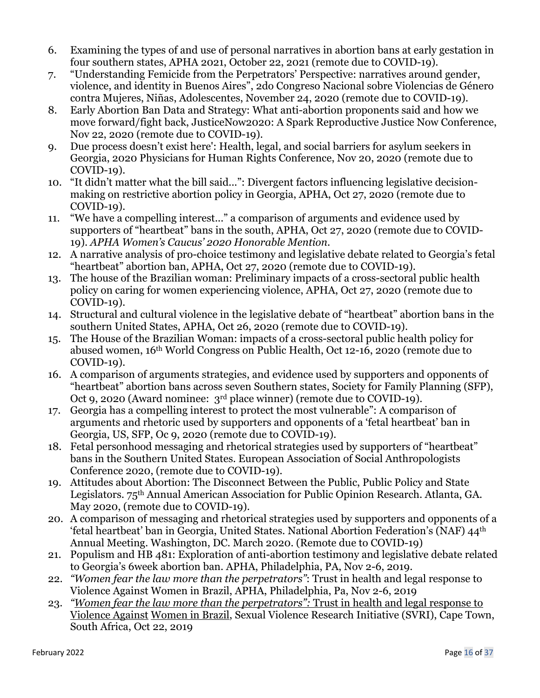- 6. Examining the types of and use of personal narratives in abortion bans at early gestation in four southern states, APHA 2021, October 22, 2021 (remote due to COVID-19).
- 7. "Understanding Femicide from the Perpetrators' Perspective: narratives around gender, violence, and identity in Buenos Aires", 2do Congreso Nacional sobre Violencias de Género contra Mujeres, Niñas, Adolescentes, November 24, 2020 (remote due to COVID-19).
- 8. Early Abortion Ban Data and Strategy: What anti-abortion proponents said and how we move forward/fight back, JusticeNow2020: A Spark Reproductive Justice Now Conference, Nov 22, 2020 (remote due to COVID-19).
- 9. Due process doesn't exist here': Health, legal, and social barriers for asylum seekers in Georgia, 2020 Physicians for Human Rights Conference, Nov 20, 2020 (remote due to COVID-19).
- 10. "It didn't matter what the bill said...": Divergent factors influencing legislative decisionmaking on restrictive abortion policy in Georgia, APHA, Oct 27, 2020 (remote due to COVID-19).
- 11. "We have a compelling interest..." a comparison of arguments and evidence used by supporters of "heartbeat" bans in the south, APHA, Oct 27, 2020 (remote due to COVID-19). *APHA Women's Caucus' 2020 Honorable Mention.*
- 12. A narrative analysis of pro-choice testimony and legislative debate related to Georgia's fetal "heartbeat" abortion ban, APHA, Oct 27, 2020 (remote due to COVID-19).
- 13. The house of the Brazilian woman: Preliminary impacts of a cross-sectoral public health policy on caring for women experiencing violence, APHA, Oct 27, 2020 (remote due to COVID-19).
- 14. Structural and cultural violence in the legislative debate of "heartbeat" abortion bans in the southern United States, APHA, Oct 26, 2020 (remote due to COVID-19).
- 15. The House of the Brazilian Woman: impacts of a cross-sectoral public health policy for abused women, 16th World Congress on Public Health, Oct 12-16, 2020 (remote due to COVID-19).
- 16. A comparison of arguments strategies, and evidence used by supporters and opponents of "heartbeat" abortion bans across seven Southern states, Society for Family Planning (SFP), Oct 9, 2020 (Award nominee: 3rd place winner) (remote due to COVID-19).
- 17. Georgia has a compelling interest to protect the most vulnerable": A comparison of arguments and rhetoric used by supporters and opponents of a 'fetal heartbeat' ban in Georgia, US, SFP, Oc 9, 2020 (remote due to COVID-19).
- 18. Fetal personhood messaging and rhetorical strategies used by supporters of "heartbeat" bans in the Southern United States. European Association of Social Anthropologists Conference 2020, (remote due to COVID-19).
- 19. Attitudes about Abortion: The Disconnect Between the Public, Public Policy and State Legislators. 75th Annual American Association for Public Opinion Research. Atlanta, GA. May 2020, (remote due to COVID-19).
- 20. A comparison of messaging and rhetorical strategies used by supporters and opponents of a 'fetal heartbeat' ban in Georgia, United States. National Abortion Federation's (NAF) 44th Annual Meeting. Washington, DC. March 2020. (Remote due to COVID-19)
- 21. Populism and HB 481: Exploration of anti-abortion testimony and legislative debate related to Georgia's 6week abortion ban. APHA, Philadelphia, PA, Nov 2-6, 2019.
- 22. *"Women fear the law more than the perpetrators"*: Trust in health and legal response to Violence Against Women in Brazil, APHA, Philadelphia, Pa, Nov 2-6, 2019
- 23. *"Women fear the law more than the perpetrators":* Trust in health and legal response to Violence Against Women in Brazil, Sexual Violence Research Initiative (SVRI), Cape Town, South Africa, Oct 22, 2019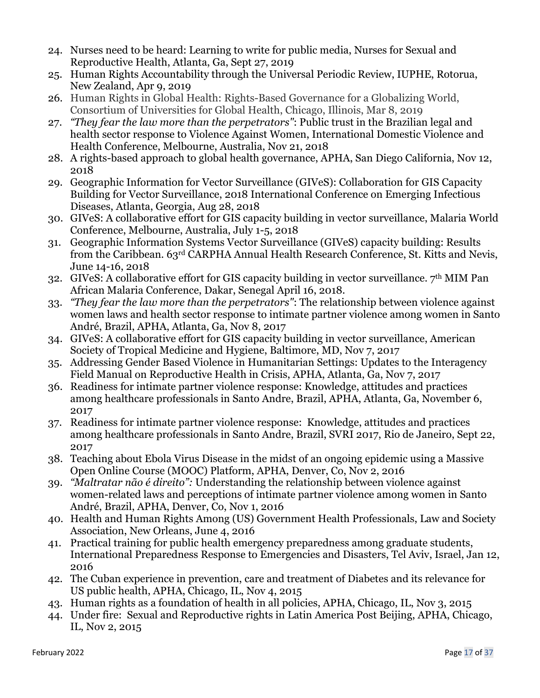- 24. Nurses need to be heard: Learning to write for public media, Nurses for Sexual and Reproductive Health, Atlanta, Ga, Sept 27, 2019
- 25. Human Rights Accountability through the Universal Periodic Review, IUPHE, Rotorua, New Zealand, Apr 9, 2019
- 26. Human Rights in Global Health: Rights-Based Governance for a Globalizing World, Consortium of Universities for Global Health, Chicago, Illinois, Mar 8, 2019
- 27. *"They fear the law more than the perpetrators"*: Public trust in the Brazilian legal and health sector response to Violence Against Women, International Domestic Violence and Health Conference, Melbourne, Australia, Nov 21, 2018
- 28. A rights-based approach to global health governance, APHA, San Diego California, Nov 12, 2018
- 29. Geographic Information for Vector Surveillance (GIVeS): Collaboration for GIS Capacity Building for Vector Surveillance, 2018 International Conference on Emerging Infectious Diseases, Atlanta, Georgia, Aug 28, 2018
- 30. GIVeS: A collaborative effort for GIS capacity building in vector surveillance, Malaria World Conference, Melbourne, Australia, July 1-5, 2018
- 31. Geographic Information Systems Vector Surveillance (GIVeS) capacity building: Results from the Caribbean. 63rd CARPHA Annual Health Research Conference, St. Kitts and Nevis, June 14-16, 2018
- 32. GIVeS: A collaborative effort for GIS capacity building in vector surveillance. 7th MIM Pan African Malaria Conference, Dakar, Senegal April 16, 2018.
- 33. *"They fear the law more than the perpetrators"*: The relationship between violence against women laws and health sector response to intimate partner violence among women in Santo André, Brazil, APHA, Atlanta, Ga, Nov 8, 2017
- 34. GIVeS: A collaborative effort for GIS capacity building in vector surveillance, American Society of Tropical Medicine and Hygiene, Baltimore, MD, Nov 7, 2017
- 35. Addressing Gender Based Violence in Humanitarian Settings: Updates to the Interagency Field Manual on Reproductive Health in Crisis, APHA, Atlanta, Ga, Nov 7, 2017
- 36. Readiness for intimate partner violence response: Knowledge, attitudes and practices among healthcare professionals in Santo Andre, Brazil, APHA, Atlanta, Ga, November 6, 2017
- 37. Readiness for intimate partner violence response: Knowledge, attitudes and practices among healthcare professionals in Santo Andre, Brazil, SVRI 2017, Rio de Janeiro, Sept 22, 2017
- 38. Teaching about Ebola Virus Disease in the midst of an ongoing epidemic using a Massive Open Online Course (MOOC) Platform, APHA, Denver, Co, Nov 2, 2016
- 39. *"Maltratar não é direito":* Understanding the relationship between violence against women-related laws and perceptions of intimate partner violence among women in Santo André, Brazil, APHA, Denver, Co, Nov 1, 2016
- 40. Health and Human Rights Among (US) Government Health Professionals, Law and Society Association, New Orleans, June 4, 2016
- 41. Practical training for public health emergency preparedness among graduate students, International Preparedness Response to Emergencies and Disasters, Tel Aviv, Israel, Jan 12, 2016
- 42. The Cuban experience in prevention, care and treatment of Diabetes and its relevance for US public health, APHA, Chicago, IL, Nov 4, 2015
- 43. Human rights as a foundation of health in all policies, APHA, Chicago, IL, Nov 3, 2015
- 44. Under fire: Sexual and Reproductive rights in Latin America Post Beijing, APHA, Chicago, IL, Nov 2, 2015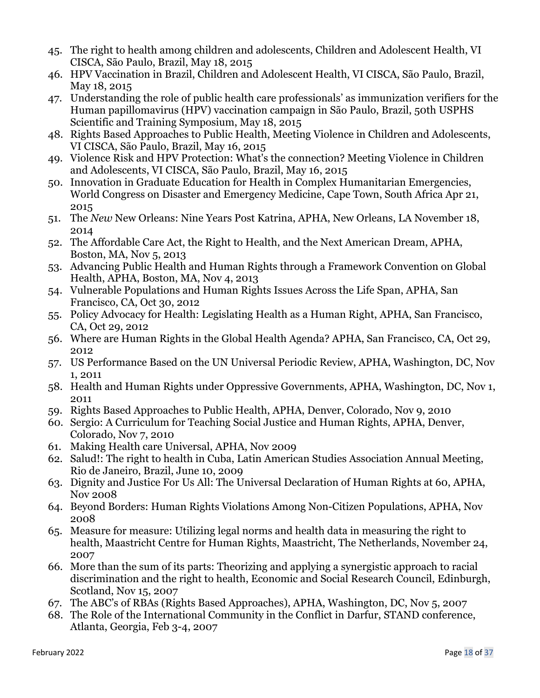- 45. The right to health among children and adolescents, Children and Adolescent Health, VI CISCA, São Paulo, Brazil, May 18, 2015
- 46. HPV Vaccination in Brazil, Children and Adolescent Health, VI CISCA, São Paulo, Brazil, May 18, 2015
- 47. Understanding the role of public health care professionals' as immunization verifiers for the Human papillomavirus (HPV) vaccination campaign in São Paulo, Brazil, 50th USPHS Scientific and Training Symposium, May 18, 2015
- 48. Rights Based Approaches to Public Health, Meeting Violence in Children and Adolescents, VI CISCA, São Paulo, Brazil, May 16, 2015
- 49. Violence Risk and HPV Protection: What's the connection? Meeting Violence in Children and Adolescents, VI CISCA, São Paulo, Brazil, May 16, 2015
- 50. Innovation in Graduate Education for Health in Complex Humanitarian Emergencies, World Congress on Disaster and Emergency Medicine, Cape Town, South Africa Apr 21, 2015
- 51. The *New* New Orleans: Nine Years Post Katrina, APHA, New Orleans, LA November 18, 2014
- 52. The Affordable Care Act, the Right to Health, and the Next American Dream, APHA, Boston, MA, Nov 5, 2013
- 53. Advancing Public Health and Human Rights through a Framework Convention on Global Health, APHA, Boston, MA, Nov 4, 2013
- 54. Vulnerable Populations and Human Rights Issues Across the Life Span, APHA, San Francisco, CA, Oct 30, 2012
- 55. Policy Advocacy for Health: Legislating Health as a Human Right, APHA, San Francisco, CA, Oct 29, 2012
- 56. Where are Human Rights in the Global Health Agenda? APHA, San Francisco, CA, Oct 29, 2012
- 57. US Performance Based on the UN Universal Periodic Review, APHA, Washington, DC, Nov 1, 2011
- 58. Health and Human Rights under Oppressive Governments, APHA, Washington, DC, Nov 1, 2011
- 59. Rights Based Approaches to Public Health, APHA, Denver, Colorado, Nov 9, 2010
- 60. Sergio: A Curriculum for Teaching Social Justice and Human Rights, APHA, Denver, Colorado, Nov 7, 2010
- 61. Making Health care Universal, APHA, Nov 2009
- 62. Salud!: The right to health in Cuba, Latin American Studies Association Annual Meeting, Rio de Janeiro, Brazil, June 10, 2009
- 63. Dignity and Justice For Us All: The Universal Declaration of Human Rights at 60, APHA, Nov 2008
- 64. Beyond Borders: Human Rights Violations Among Non-Citizen Populations, APHA, Nov 2008
- 65. Measure for measure: Utilizing legal norms and health data in measuring the right to health, Maastricht Centre for Human Rights, Maastricht, The Netherlands, November 24, 2007
- 66. More than the sum of its parts: Theorizing and applying a synergistic approach to racial discrimination and the right to health, Economic and Social Research Council, Edinburgh, Scotland, Nov 15, 2007
- 67. The ABC's of RBAs (Rights Based Approaches), APHA, Washington, DC, Nov 5, 2007
- 68. The Role of the International Community in the Conflict in Darfur, STAND conference, Atlanta, Georgia, Feb 3-4, 2007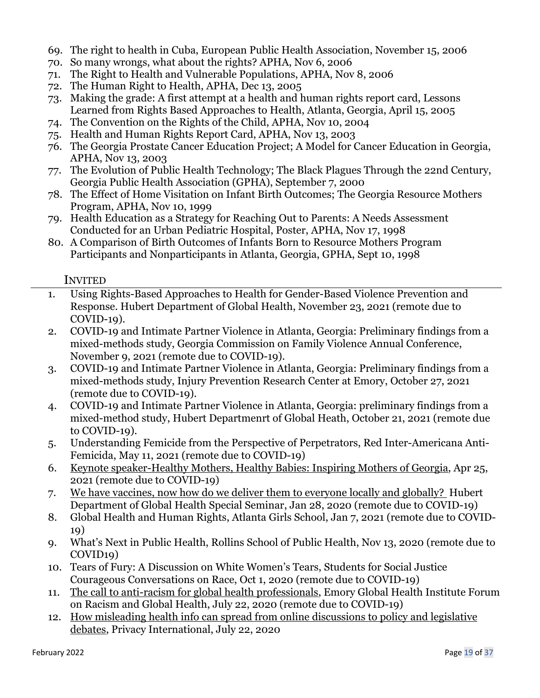- 69. The right to health in Cuba, European Public Health Association, November 15, 2006
- 70. So many wrongs, what about the rights? APHA, Nov 6, 2006
- 71. The Right to Health and Vulnerable Populations, APHA, Nov 8, 2006
- 72. The Human Right to Health, APHA, Dec 13, 2005
- 73. Making the grade: A first attempt at a health and human rights report card, Lessons Learned from Rights Based Approaches to Health, Atlanta, Georgia, April 15, 2005
- 74. The Convention on the Rights of the Child, APHA, Nov 10, 2004
- 75. Health and Human Rights Report Card, APHA, Nov 13, 2003
- 76. The Georgia Prostate Cancer Education Project; A Model for Cancer Education in Georgia, APHA, Nov 13, 2003
- 77. The Evolution of Public Health Technology; The Black Plagues Through the 22nd Century, Georgia Public Health Association (GPHA), September 7, 2000
- 78. The Effect of Home Visitation on Infant Birth Outcomes; The Georgia Resource Mothers Program, APHA, Nov 10, 1999
- 79. Health Education as a Strategy for Reaching Out to Parents: A Needs Assessment Conducted for an Urban Pediatric Hospital, Poster, APHA, Nov 17, 1998
- 80. A Comparison of Birth Outcomes of Infants Born to Resource Mothers Program Participants and Nonparticipants in Atlanta, Georgia, GPHA, Sept 10, 1998

## INVITED

- 1. Using Rights-Based Approaches to Health for Gender-Based Violence Prevention and Response. Hubert Department of Global Health, November 23, 2021 (remote due to COVID-19).
- 2. COVID-19 and Intimate Partner Violence in Atlanta, Georgia: Preliminary findings from a mixed-methods study, Georgia Commission on Family Violence Annual Conference, November 9, 2021 (remote due to COVID-19).
- 3. COVID-19 and Intimate Partner Violence in Atlanta, Georgia: Preliminary findings from a mixed-methods study, Injury Prevention Research Center at Emory, October 27, 2021 (remote due to COVID-19).
- 4. COVID-19 and Intimate Partner Violence in Atlanta, Georgia: preliminary findings from a mixed-method study, Hubert Departmenrt of Global Heath, October 21, 2021 (remote due to COVID-19).
- 5. Understanding Femicide from the Perspective of Perpetrators, Red Inter-Americana Anti-Femicida, May 11, 2021 (remote due to COVID-19)
- 6. Keynote speaker-Healthy Mothers, Healthy Babies: Inspiring Mothers of Georgia, Apr 25, 2021 (remote due to COVID-19)
- 7. We have vaccines, now how do we deliver them to everyone locally and globally? Hubert Department of Global Health Special Seminar, Jan 28, 2020 (remote due to COVID-19)
- 8. Global Health and Human Rights, Atlanta Girls School, Jan 7, 2021 (remote due to COVID-19)
- 9. What's Next in Public Health, Rollins School of Public Health, Nov 13, 2020 (remote due to COVID19)
- 10. Tears of Fury: A Discussion on White Women's Tears, Students for Social Justice Courageous Conversations on Race, Oct 1, 2020 (remote due to COVID-19)
- 11. The call to anti-racism for global health professionals, Emory Global Health Institute Forum on Racism and Global Health, July 22, 2020 (remote due to COVID-19)
- 12. How misleading health info can spread from online discussions to policy and legislative debates, Privacy International, July 22, 2020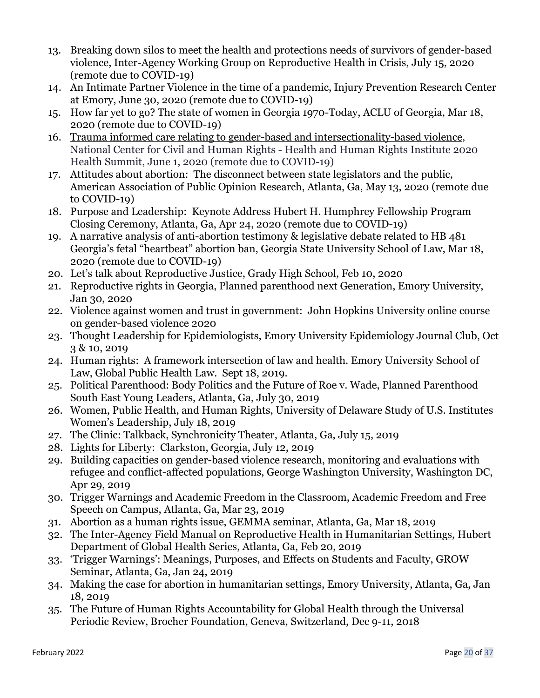- 13. Breaking down silos to meet the health and protections needs of survivors of gender-based violence, Inter-Agency Working Group on Reproductive Health in Crisis, July 15, 2020 (remote due to COVID-19)
- 14. An Intimate Partner Violence in the time of a pandemic, Injury Prevention Research Center at Emory, June 30, 2020 (remote due to COVID-19)
- 15. How far yet to go? The state of women in Georgia 1970-Today, ACLU of Georgia, Mar 18, 2020 (remote due to COVID-19)
- 16. Trauma informed care relating to gender-based and intersectionality-based violence, National Center for Civil and Human Rights - Health and Human Rights Institute 2020 Health Summit, June 1, 2020 (remote due to COVID-19)
- 17. Attitudes about abortion: The disconnect between state legislators and the public, American Association of Public Opinion Research, Atlanta, Ga, May 13, 2020 (remote due to COVID-19)
- 18. Purpose and Leadership: Keynote Address Hubert H. Humphrey Fellowship Program Closing Ceremony, Atlanta, Ga, Apr 24, 2020 (remote due to COVID-19)
- 19. A narrative analysis of anti-abortion testimony & legislative debate related to HB 481 Georgia's fetal "heartbeat" abortion ban, Georgia State University School of Law, Mar 18, 2020 (remote due to COVID-19)
- 20. Let's talk about Reproductive Justice, Grady High School, Feb 10, 2020
- 21. Reproductive rights in Georgia, Planned parenthood next Generation, Emory University, Jan 30, 2020
- 22. Violence against women and trust in government: John Hopkins University online course on gender-based violence 2020
- 23. Thought Leadership for Epidemiologists, Emory University Epidemiology Journal Club, Oct 3 & 10, 2019
- 24. Human rights: A framework intersection of law and health. Emory University School of Law, Global Public Health Law. Sept 18, 2019.
- 25. Political Parenthood: Body Politics and the Future of Roe v. Wade, Planned Parenthood South East Young Leaders, Atlanta, Ga, July 30, 2019
- 26. Women, Public Health, and Human Rights, University of Delaware Study of U.S. Institutes Women's Leadership, July 18, 2019
- 27. The Clinic: Talkback, Synchronicity Theater, Atlanta, Ga, July 15, 2019
- 28. Lights for Liberty: Clarkston, Georgia, July 12, 2019
- 29. Building capacities on gender-based violence research, monitoring and evaluations with refugee and conflict-affected populations, George Washington University, Washington DC, Apr 29, 2019
- 30. Trigger Warnings and Academic Freedom in the Classroom, Academic Freedom and Free Speech on Campus, Atlanta, Ga, Mar 23, 2019
- 31. Abortion as a human rights issue, GEMMA seminar, Atlanta, Ga, Mar 18, 2019
- 32. The Inter-Agency Field Manual on Reproductive Health in Humanitarian Settings, Hubert Department of Global Health Series, Atlanta, Ga, Feb 20, 2019
- 33. 'Trigger Warnings': Meanings, Purposes, and Effects on Students and Faculty, GROW Seminar, Atlanta, Ga, Jan 24, 2019
- 34. Making the case for abortion in humanitarian settings, Emory University, Atlanta, Ga, Jan 18, 2019
- 35. The Future of Human Rights Accountability for Global Health through the Universal Periodic Review, Brocher Foundation, Geneva, Switzerland, Dec 9-11, 2018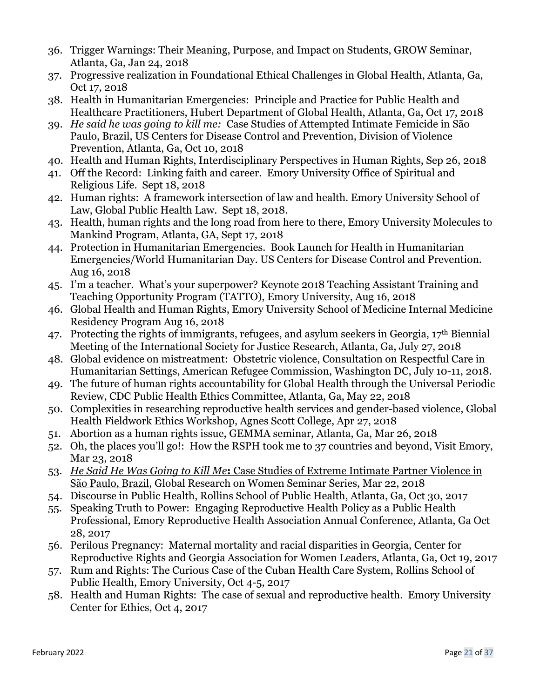- 36. Trigger Warnings: Their Meaning, Purpose, and Impact on Students, GROW Seminar, Atlanta, Ga, Jan 24, 2018
- 37. Progressive realization in Foundational Ethical Challenges in Global Health, Atlanta, Ga, Oct 17, 2018
- 38. Health in Humanitarian Emergencies: Principle and Practice for Public Health and Healthcare Practitioners, Hubert Department of Global Health, Atlanta, Ga, Oct 17, 2018
- 39. *He said he was going to kill me:* Case Studies of Attempted Intimate Femicide in São Paulo, Brazil, US Centers for Disease Control and Prevention, Division of Violence Prevention, Atlanta, Ga, Oct 10, 2018
- 40. Health and Human Rights, Interdisciplinary Perspectives in Human Rights, Sep 26, 2018
- 41. Off the Record: Linking faith and career. Emory University Office of Spiritual and Religious Life. Sept 18, 2018
- 42. Human rights: A framework intersection of law and health. Emory University School of Law, Global Public Health Law. Sept 18, 2018.
- 43. Health, human rights and the long road from here to there, Emory University Molecules to Mankind Program, Atlanta, GA, Sept 17, 2018
- 44. Protection in Humanitarian Emergencies. Book Launch for Health in Humanitarian Emergencies/World Humanitarian Day. US Centers for Disease Control and Prevention. Aug 16, 2018
- 45. I'm a teacher. What's your superpower? Keynote 2018 Teaching Assistant Training and Teaching Opportunity Program (TATTO), Emory University, Aug 16, 2018
- 46. Global Health and Human Rights, Emory University School of Medicine Internal Medicine Residency Program Aug 16, 2018
- 47. Protecting the rights of immigrants, refugees, and asylum seekers in Georgia, 17th Biennial Meeting of the International Society for Justice Research, Atlanta, Ga, July 27, 2018
- 48. Global evidence on mistreatment: Obstetric violence, Consultation on Respectful Care in Humanitarian Settings, American Refugee Commission, Washington DC, July 10-11, 2018.
- 49. The future of human rights accountability for Global Health through the Universal Periodic Review, CDC Public Health Ethics Committee, Atlanta, Ga, May 22, 2018
- 50. Complexities in researching reproductive health services and gender-based violence, Global Health Fieldwork Ethics Workshop, Agnes Scott College, Apr 27, 2018
- 51. Abortion as a human rights issue, GEMMA seminar, Atlanta, Ga, Mar 26, 2018
- 52. Oh, the places you'll go!: How the RSPH took me to 37 countries and beyond, Visit Emory, Mar 23, 2018
- 53. *He Said He Was Going to Kill Me***:** Case Studies of Extreme Intimate Partner Violence in São Paulo, Brazil, Global Research on Women Seminar Series, Mar 22, 2018
- 54. Discourse in Public Health, Rollins School of Public Health, Atlanta, Ga, Oct 30, 2017
- 55. Speaking Truth to Power: Engaging Reproductive Health Policy as a Public Health Professional, Emory Reproductive Health Association Annual Conference, Atlanta, Ga Oct 28, 2017
- 56. Perilous Pregnancy: Maternal mortality and racial disparities in Georgia, Center for Reproductive Rights and Georgia Association for Women Leaders, Atlanta, Ga, Oct 19, 2017
- 57. Rum and Rights: The Curious Case of the Cuban Health Care System, Rollins School of Public Health, Emory University, Oct 4-5, 2017
- 58. Health and Human Rights: The case of sexual and reproductive health. Emory University Center for Ethics, Oct 4, 2017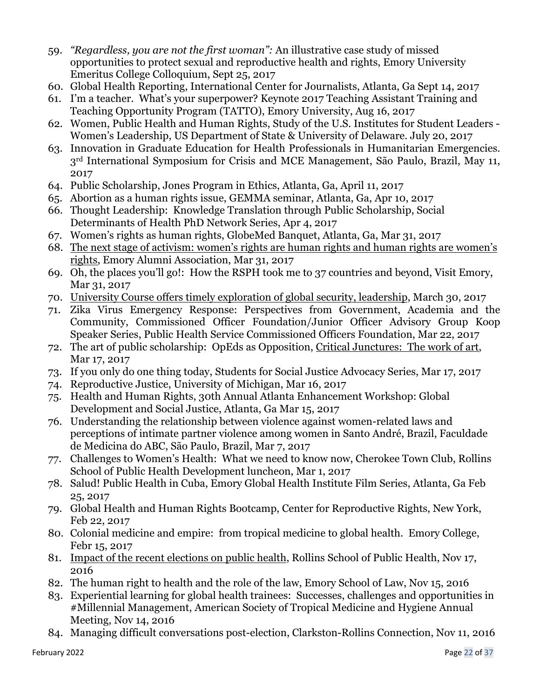- 59. *"Regardless, you are not the first woman":* An illustrative case study of missed opportunities to protect sexual and reproductive health and rights, Emory University Emeritus College Colloquium, Sept 25, 2017
- 60. Global Health Reporting, International Center for Journalists, Atlanta, Ga Sept 14, 2017
- 61. I'm a teacher. What's your superpower? Keynote 2017 Teaching Assistant Training and Teaching Opportunity Program (TATTO), Emory University, Aug 16, 2017
- 62. Women, Public Health and Human Rights, Study of the U.S. Institutes for Student Leaders Women's Leadership, US Department of State & University of Delaware. July 20, 2017
- 63. Innovation in Graduate Education for Health Professionals in Humanitarian Emergencies. 3rd International Symposium for Crisis and MCE Management, São Paulo, Brazil, May 11, 2017
- 64. Public Scholarship, Jones Program in Ethics, Atlanta, Ga, April 11, 2017
- 65. Abortion as a human rights issue, GEMMA seminar, Atlanta, Ga, Apr 10, 2017
- 66. Thought Leadership: Knowledge Translation through Public Scholarship, Social Determinants of Health PhD Network Series, Apr 4, 2017
- 67. Women's rights as human rights, GlobeMed Banquet, Atlanta, Ga, Mar 31, 2017
- 68. The next stage of activism: women's rights are human rights and human rights are women's rights, Emory Alumni Association, Mar 31, 2017
- 69. Oh, the places you'll go!: How the RSPH took me to 37 countries and beyond, Visit Emory, Mar 31, 2017
- 70. University Course offers timely exploration of global security, leadership, March 30, 2017
- 71. Zika Virus Emergency Response: Perspectives from Government, Academia and the Community, Commissioned Officer Foundation/Junior Officer Advisory Group Koop Speaker Series, Public Health Service Commissioned Officers Foundation, Mar 22, 2017
- 72. The art of public scholarship: OpEds as Opposition, Critical Junctures: The work of art, Mar 17, 2017
- 73. If you only do one thing today, Students for Social Justice Advocacy Series, Mar 17, 2017
- 74. Reproductive Justice, University of Michigan, Mar 16, 2017
- 75. Health and Human Rights, 30th Annual Atlanta Enhancement Workshop: Global Development and Social Justice, Atlanta, Ga Mar 15, 2017
- 76. Understanding the relationship between violence against women-related laws and perceptions of intimate partner violence among women in Santo André, Brazil, Faculdade de Medicina do ABC, São Paulo, Brazil, Mar 7, 2017
- 77. Challenges to Women's Health: What we need to know now, Cherokee Town Club, Rollins School of Public Health Development luncheon, Mar 1, 2017
- 78. Salud! Public Health in Cuba, Emory Global Health Institute Film Series, Atlanta, Ga Feb 25, 2017
- 79. Global Health and Human Rights Bootcamp, Center for Reproductive Rights, New York, Feb 22, 2017
- 80. Colonial medicine and empire: from tropical medicine to global health. Emory College, Febr 15, 2017
- 81. Impact of the recent elections on public health, Rollins School of Public Health, Nov 17, 2016
- 82. The human right to health and the role of the law, Emory School of Law, Nov 15, 2016
- 83. Experiential learning for global health trainees: Successes, challenges and opportunities in #Millennial Management, American Society of Tropical Medicine and Hygiene Annual Meeting, Nov 14, 2016
- 84. Managing difficult conversations post-election, Clarkston-Rollins Connection, Nov 11, 2016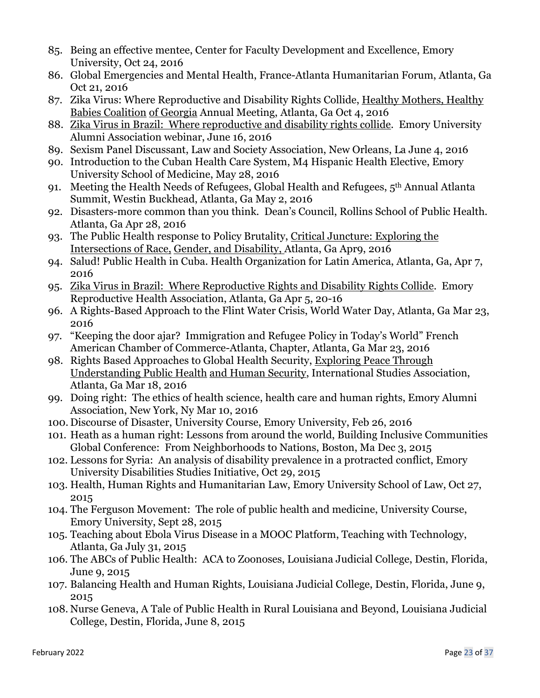- 85. Being an effective mentee, Center for Faculty Development and Excellence, Emory University, Oct 24, 2016
- 86. Global Emergencies and Mental Health, France-Atlanta Humanitarian Forum, Atlanta, Ga Oct 21, 2016
- 87. Zika Virus: Where Reproductive and Disability Rights Collide, Healthy Mothers, Healthy Babies Coalition of Georgia Annual Meeting, Atlanta, Ga Oct 4, 2016
- 88. Zika Virus in Brazil: Where reproductive and disability rights collide. Emory University Alumni Association webinar, June 16, 2016
- 89. Sexism Panel Discussant, Law and Society Association, New Orleans, La June 4, 2016
- 90. Introduction to the Cuban Health Care System, M4 Hispanic Health Elective, Emory University School of Medicine, May 28, 2016
- 91. Meeting the Health Needs of Refugees, Global Health and Refugees, 5th Annual Atlanta Summit, Westin Buckhead, Atlanta, Ga May 2, 2016
- 92. Disasters-more common than you think. Dean's Council, Rollins School of Public Health. Atlanta, Ga Apr 28, 2016
- 93. The Public Health response to Policy Brutality, Critical Juncture: Exploring the Intersections of Race, Gender, and Disability, Atlanta, Ga Apr9, 2016
- 94. Salud! Public Health in Cuba. Health Organization for Latin America, Atlanta, Ga, Apr 7, 2016
- 95. Zika Virus in Brazil: Where Reproductive Rights and Disability Rights Collide. Emory Reproductive Health Association, Atlanta, Ga Apr 5, 20-16
- 96. A Rights-Based Approach to the Flint Water Crisis, World Water Day, Atlanta, Ga Mar 23, 2016
- 97. "Keeping the door ajar? Immigration and Refugee Policy in Today's World" French American Chamber of Commerce-Atlanta, Chapter, Atlanta, Ga Mar 23, 2016
- 98. Rights Based Approaches to Global Health Security, Exploring Peace Through Understanding Public Health and Human Security, International Studies Association, Atlanta, Ga Mar 18, 2016
- 99. Doing right: The ethics of health science, health care and human rights, Emory Alumni Association, New York, Ny Mar 10, 2016
- 100. Discourse of Disaster, University Course, Emory University, Feb 26, 2016
- 101. Heath as a human right: Lessons from around the world, Building Inclusive Communities Global Conference: From Neighborhoods to Nations, Boston, Ma Dec 3, 2015
- 102. Lessons for Syria: An analysis of disability prevalence in a protracted conflict, Emory University Disabilities Studies Initiative, Oct 29, 2015
- 103. Health, Human Rights and Humanitarian Law, Emory University School of Law, Oct 27, 2015
- 104. The Ferguson Movement: The role of public health and medicine, University Course, Emory University, Sept 28, 2015
- 105. Teaching about Ebola Virus Disease in a MOOC Platform, Teaching with Technology, Atlanta, Ga July 31, 2015
- 106. The ABCs of Public Health: ACA to Zoonoses, Louisiana Judicial College, Destin, Florida, June 9, 2015
- 107. Balancing Health and Human Rights, Louisiana Judicial College, Destin, Florida, June 9, 2015
- 108. Nurse Geneva, A Tale of Public Health in Rural Louisiana and Beyond, Louisiana Judicial College, Destin, Florida, June 8, 2015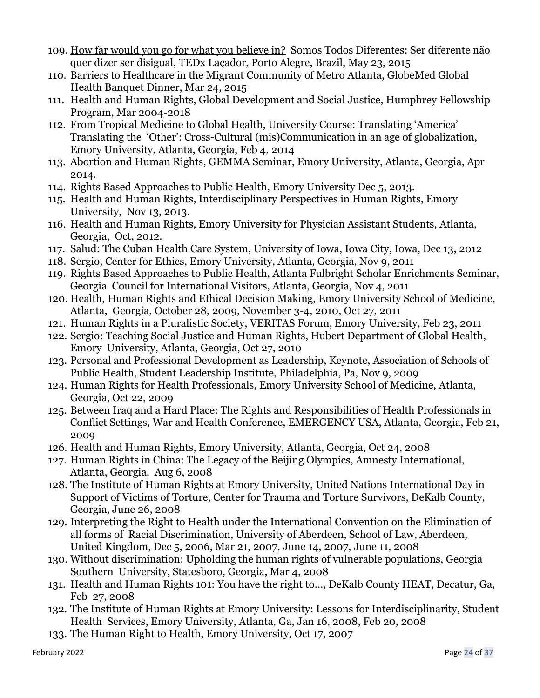- 109. How far would you go for what you believe in? Somos Todos Diferentes: Ser diferente não quer dizer ser disigual, TEDx Laçador, Porto Alegre, Brazil, May 23, 2015
- 110. Barriers to Healthcare in the Migrant Community of Metro Atlanta, GlobeMed Global Health Banquet Dinner, Mar 24, 2015
- 111. Health and Human Rights, Global Development and Social Justice, Humphrey Fellowship Program, Mar 2004-2018
- 112. From Tropical Medicine to Global Health, University Course: Translating 'America' Translating the 'Other': Cross-Cultural (mis)Communication in an age of globalization, Emory University, Atlanta, Georgia, Feb 4, 2014
- 113. Abortion and Human Rights, GEMMA Seminar, Emory University, Atlanta, Georgia, Apr 2014.
- 114. Rights Based Approaches to Public Health, Emory University Dec 5, 2013.
- 115. Health and Human Rights, Interdisciplinary Perspectives in Human Rights, Emory University, Nov 13, 2013.
- 116. Health and Human Rights, Emory University for Physician Assistant Students, Atlanta, Georgia, Oct, 2012.
- 117. Salud: The Cuban Health Care System, University of Iowa, Iowa City, Iowa, Dec 13, 2012
- 118. Sergio, Center for Ethics, Emory University, Atlanta, Georgia, Nov 9, 2011
- 119. Rights Based Approaches to Public Health, Atlanta Fulbright Scholar Enrichments Seminar, Georgia Council for International Visitors, Atlanta, Georgia, Nov 4, 2011
- 120. Health, Human Rights and Ethical Decision Making, Emory University School of Medicine, Atlanta, Georgia, October 28, 2009, November 3-4, 2010, Oct 27, 2011
- 121. Human Rights in a Pluralistic Society, VERITAS Forum, Emory University, Feb 23, 2011
- 122. Sergio: Teaching Social Justice and Human Rights, Hubert Department of Global Health, Emory University, Atlanta, Georgia, Oct 27, 2010
- 123. Personal and Professional Development as Leadership, Keynote, Association of Schools of Public Health, Student Leadership Institute, Philadelphia, Pa, Nov 9, 2009
- 124. Human Rights for Health Professionals, Emory University School of Medicine, Atlanta, Georgia, Oct 22, 2009
- 125. Between Iraq and a Hard Place: The Rights and Responsibilities of Health Professionals in Conflict Settings, War and Health Conference, EMERGENCY USA, Atlanta, Georgia, Feb 21, 2009
- 126. Health and Human Rights, Emory University, Atlanta, Georgia, Oct 24, 2008
- 127. Human Rights in China: The Legacy of the Beijing Olympics, Amnesty International, Atlanta, Georgia, Aug 6, 2008
- 128. The Institute of Human Rights at Emory University, United Nations International Day in Support of Victims of Torture, Center for Trauma and Torture Survivors, DeKalb County, Georgia, June 26, 2008
- 129. Interpreting the Right to Health under the International Convention on the Elimination of all forms of Racial Discrimination, University of Aberdeen, School of Law, Aberdeen, United Kingdom, Dec 5, 2006, Mar 21, 2007, June 14, 2007, June 11, 2008
- 130. Without discrimination: Upholding the human rights of vulnerable populations, Georgia Southern University, Statesboro, Georgia, Mar 4, 2008
- 131. Health and Human Rights 101: You have the right to…, DeKalb County HEAT, Decatur, Ga, Feb 27, 2008
- 132. The Institute of Human Rights at Emory University: Lessons for Interdisciplinarity, Student Health Services, Emory University, Atlanta, Ga, Jan 16, 2008, Feb 20, 2008
- 133. The Human Right to Health, Emory University, Oct 17, 2007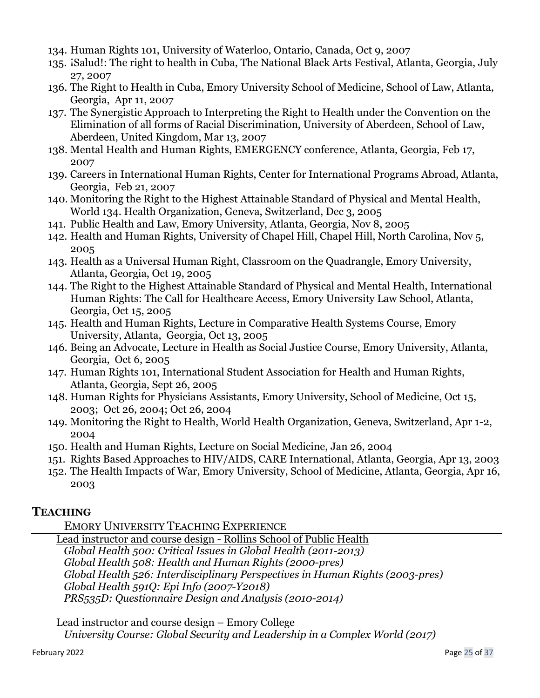- 134. Human Rights 101, University of Waterloo, Ontario, Canada, Oct 9, 2007
- 135. *iSalud!: The right to health in Cuba*, The National Black Arts Festival, Atlanta, Georgia, July 27, 2007
- 136. The Right to Health in Cuba, Emory University School of Medicine, School of Law, Atlanta, Georgia, Apr 11, 2007
- 137. The Synergistic Approach to Interpreting the Right to Health under the Convention on the Elimination of all forms of Racial Discrimination, University of Aberdeen, School of Law, Aberdeen, United Kingdom, Mar 13, 2007
- 138. Mental Health and Human Rights, EMERGENCY conference, Atlanta, Georgia, Feb 17, 2007
- 139. Careers in International Human Rights, Center for International Programs Abroad, Atlanta, Georgia, Feb 21, 2007
- 140. Monitoring the Right to the Highest Attainable Standard of Physical and Mental Health, World 134. Health Organization, Geneva, Switzerland, Dec 3, 2005
- 141. Public Health and Law, Emory University, Atlanta, Georgia, Nov 8, 2005
- 142. Health and Human Rights, University of Chapel Hill, Chapel Hill, North Carolina, Nov 5, 2005
- 143. Health as a Universal Human Right, Classroom on the Quadrangle, Emory University, Atlanta, Georgia, Oct 19, 2005
- 144. The Right to the Highest Attainable Standard of Physical and Mental Health, International Human Rights: The Call for Healthcare Access, Emory University Law School, Atlanta, Georgia, Oct 15, 2005
- 145. Health and Human Rights, Lecture in Comparative Health Systems Course, Emory University, Atlanta, Georgia, Oct 13, 2005
- 146. Being an Advocate, Lecture in Health as Social Justice Course, Emory University, Atlanta, Georgia, Oct 6, 2005
- 147. Human Rights 101, International Student Association for Health and Human Rights, Atlanta, Georgia, Sept 26, 2005
- 148. Human Rights for Physicians Assistants, Emory University, School of Medicine, Oct 15, 2003; Oct 26, 2004; Oct 26, 2004
- 149. Monitoring the Right to Health, World Health Organization, Geneva, Switzerland, Apr 1-2, 2004
- 150. Health and Human Rights, Lecture on Social Medicine, Jan 26, 2004
- 151. Rights Based Approaches to HIV/AIDS, CARE International, Atlanta, Georgia, Apr 13, 2003
- 152. The Health Impacts of War, Emory University, School of Medicine, Atlanta, Georgia, Apr 16, 2003

# **TEACHING**

EMORY UNIVERSITY TEACHING EXPERIENCE

Lead instructor and course design - Rollins School of Public Health *Global Health 500: Critical Issues in Global Health (2011-2013) Global Health 508: Health and Human Rights (2000-pres) Global Health 526: Interdisciplinary Perspectives in Human Rights (2003-pres) Global Health 591Q: Epi Info (2007-Y2018) PRS535D: Questionnaire Design and Analysis (2010-2014)*

Lead instructor and course design – Emory College  *University Course: Global Security and Leadership in a Complex World (2017)*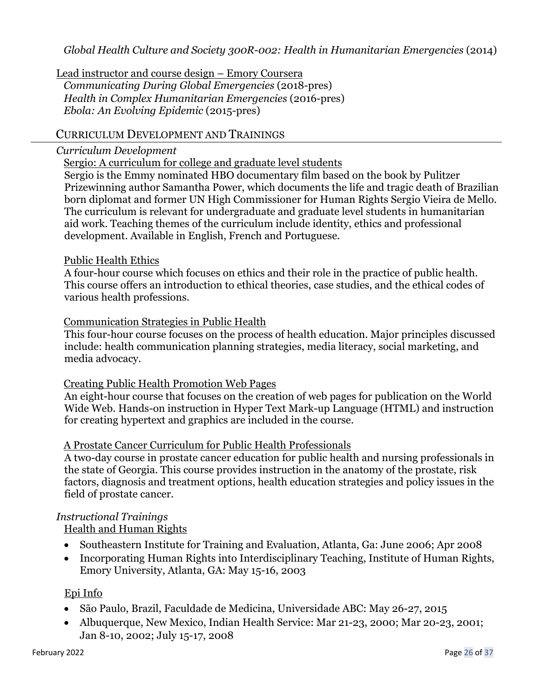*Global Health Culture and Society 300R*-*002: Health in Humanitarian Emergencies* (2014)

Lead instructor and course design – Emory Coursera *Communicating During Global Emergencies* (2018-pres) *Health in Complex Humanitarian Emergencies* (2016-pres) *Ebola: An Evolving Epidemic* (2015-pres)

## CURRICULUM DEVELOPMENT AND TRAININGS

#### *Curriculum Development*

Sergio: A curriculum for college and graduate level students

Sergio is the Emmy nominated HBO documentary film based on the book by Pulitzer Prizewinning author Samantha Power, which documents the life and tragic death of Brazilian born diplomat and former UN High Commissioner for Human Rights Sergio Vieira de Mello. The curriculum is relevant for undergraduate and graduate level students in humanitarian aid work. Teaching themes of the curriculum include identity, ethics and professional development. Available in English, French and Portuguese.

#### Public Health Ethics

A four-hour course which focuses on ethics and their role in the practice of public health. This course offers an introduction to ethical theories, case studies, and the ethical codes of various health professions.

#### Communication Strategies in Public Health

This four-hour course focuses on the process of health education. Major principles discussed include: health communication planning strategies, media literacy, social marketing, and media advocacy.

#### Creating Public Health Promotion Web Pages

An eight-hour course that focuses on the creation of web pages for publication on the World Wide Web. Hands-on instruction in Hyper Text Mark-up Language (HTML) and instruction for creating hypertext and graphics are included in the course.

## A Prostate Cancer Curriculum for Public Health Professionals

A two-day course in prostate cancer education for public health and nursing professionals in the state of Georgia. This course provides instruction in the anatomy of the prostate, risk factors, diagnosis and treatment options, health education strategies and policy issues in the field of prostate cancer.

## *Instructional Trainings*

Health and Human Rights

- Southeastern Institute for Training and Evaluation, Atlanta, Ga: June 2006; Apr 2008
- Incorporating Human Rights into Interdisciplinary Teaching, Institute of Human Rights, Emory University, Atlanta, GA: May 15-16, 2003

#### Epi Info

- São Paulo, Brazil, Faculdade de Medicina, Universidade ABC: May 26-27, 2015
- Albuquerque, New Mexico, Indian Health Service: Mar 21-23, 2000; Mar 20-23, 2001; Jan 8-10, 2002; July 15-17, 2008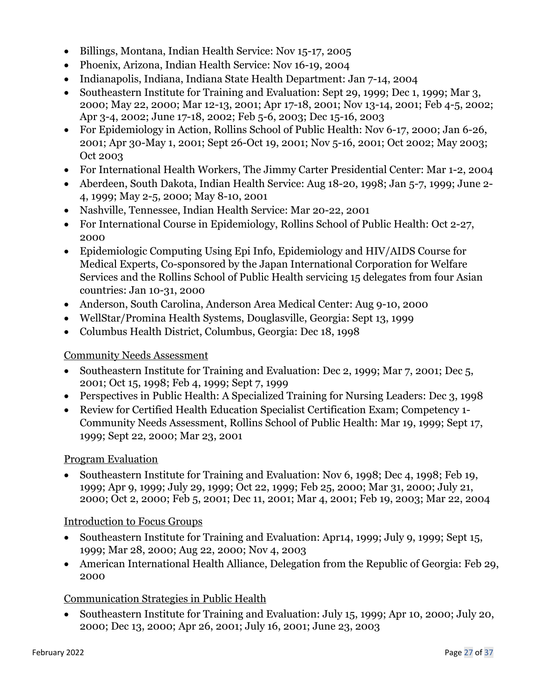- Billings, Montana, Indian Health Service: Nov 15-17, 2005
- Phoenix, Arizona, Indian Health Service: Nov 16-19, 2004
- Indianapolis, Indiana, Indiana State Health Department: Jan 7-14, 2004
- Southeastern Institute for Training and Evaluation: Sept 29, 1999; Dec 1, 1999; Mar 3, 2000; May 22, 2000; Mar 12-13, 2001; Apr 17-18, 2001; Nov 13-14, 2001; Feb 4-5, 2002; Apr 3-4, 2002; June 17-18, 2002; Feb 5-6, 2003; Dec 15-16, 2003
- For Epidemiology in Action, Rollins School of Public Health: Nov 6-17, 2000; Jan 6-26, 2001; Apr 30-May 1, 2001; Sept 26-Oct 19, 2001; Nov 5-16, 2001; Oct 2002; May 2003; Oct 2003
- For International Health Workers, The Jimmy Carter Presidential Center: Mar 1-2, 2004
- Aberdeen, South Dakota, Indian Health Service: Aug 18-20, 1998; Jan 5-7, 1999; June 2- 4, 1999; May 2-5, 2000; May 8-10, 2001
- Nashville, Tennessee, Indian Health Service: Mar 20-22, 2001
- For International Course in Epidemiology, Rollins School of Public Health: Oct 2-27, 2000
- Epidemiologic Computing Using Epi Info, Epidemiology and HIV/AIDS Course for Medical Experts, Co-sponsored by the Japan International Corporation for Welfare Services and the Rollins School of Public Health servicing 15 delegates from four Asian countries: Jan 10-31, 2000
- Anderson, South Carolina, Anderson Area Medical Center: Aug 9-10, 2000
- WellStar/Promina Health Systems, Douglasville, Georgia: Sept 13, 1999
- Columbus Health District, Columbus, Georgia: Dec 18, 1998

# Community Needs Assessment

- Southeastern Institute for Training and Evaluation: Dec 2, 1999; Mar 7, 2001; Dec 5, 2001; Oct 15, 1998; Feb 4, 1999; Sept 7, 1999
- Perspectives in Public Health: A Specialized Training for Nursing Leaders: Dec 3, 1998
- Review for Certified Health Education Specialist Certification Exam; Competency 1- Community Needs Assessment, Rollins School of Public Health: Mar 19, 1999; Sept 17, 1999; Sept 22, 2000; Mar 23, 2001

# Program Evaluation

• Southeastern Institute for Training and Evaluation: Nov 6, 1998; Dec 4, 1998; Feb 19, 1999; Apr 9, 1999; July 29, 1999; Oct 22, 1999; Feb 25, 2000; Mar 31, 2000; July 21, 2000; Oct 2, 2000; Feb 5, 2001; Dec 11, 2001; Mar 4, 2001; Feb 19, 2003; Mar 22, 2004

# Introduction to Focus Groups

- Southeastern Institute for Training and Evaluation: Apr14, 1999; July 9, 1999; Sept 15, 1999; Mar 28, 2000; Aug 22, 2000; Nov 4, 2003
- American International Health Alliance, Delegation from the Republic of Georgia: Feb 29, 2000

# Communication Strategies in Public Health

• Southeastern Institute for Training and Evaluation: July 15, 1999; Apr 10, 2000; July 20, 2000; Dec 13, 2000; Apr 26, 2001; July 16, 2001; June 23, 2003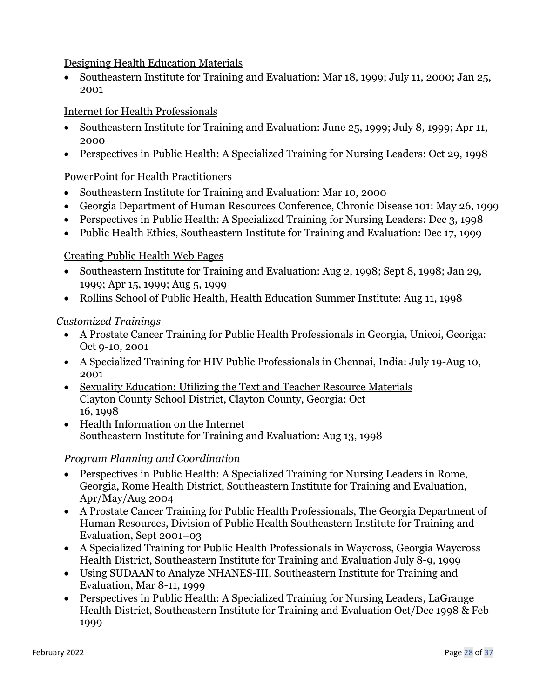## Designing Health Education Materials

• Southeastern Institute for Training and Evaluation: Mar 18, 1999; July 11, 2000; Jan 25, 2001

## Internet for Health Professionals

- Southeastern Institute for Training and Evaluation: June 25, 1999; July 8, 1999; Apr 11, 2000
- Perspectives in Public Health: A Specialized Training for Nursing Leaders: Oct 29, 1998

## PowerPoint for Health Practitioners

- Southeastern Institute for Training and Evaluation: Mar 10, 2000
- Georgia Department of Human Resources Conference, Chronic Disease 101: May 26, 1999
- Perspectives in Public Health: A Specialized Training for Nursing Leaders: Dec 3, 1998
- Public Health Ethics, Southeastern Institute for Training and Evaluation: Dec 17, 1999

## Creating Public Health Web Pages

- Southeastern Institute for Training and Evaluation: Aug 2, 1998; Sept 8, 1998; Jan 29, 1999; Apr 15, 1999; Aug 5, 1999
- Rollins School of Public Health, Health Education Summer Institute: Aug 11, 1998

## *Customized Trainings*

- A Prostate Cancer Training for Public Health Professionals in Georgia, Unicoi, Georiga: Oct 9-10, 2001
- A Specialized Training for HIV Public Professionals in Chennai, India: July 19-Aug 10, 2001
- Sexuality Education: Utilizing the Text and Teacher Resource Materials Clayton County School District, Clayton County, Georgia: Oct 16, 1998
- Health Information on the Internet Southeastern Institute for Training and Evaluation: Aug 13, 1998

## *Program Planning and Coordination*

- Perspectives in Public Health: A Specialized Training for Nursing Leaders in Rome, Georgia, Rome Health District, Southeastern Institute for Training and Evaluation, Apr/May/Aug 2004
- A Prostate Cancer Training for Public Health Professionals, The Georgia Department of Human Resources, Division of Public Health Southeastern Institute for Training and Evaluation, Sept 2001–03
- A Specialized Training for Public Health Professionals in Waycross, Georgia Waycross Health District, Southeastern Institute for Training and Evaluation July 8-9, 1999
- Using SUDAAN to Analyze NHANES-III, Southeastern Institute for Training and Evaluation, Mar 8-11, 1999
- Perspectives in Public Health: A Specialized Training for Nursing Leaders, LaGrange Health District, Southeastern Institute for Training and Evaluation Oct/Dec 1998 & Feb 1999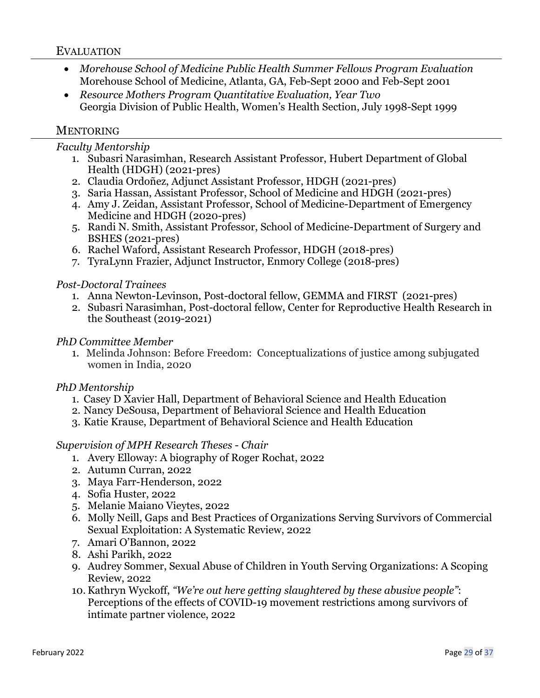## EVALUATION

- *Morehouse School of Medicine Public Health Summer Fellows Program Evaluation*  Morehouse School of Medicine, Atlanta, GA, Feb-Sept 2000 and Feb-Sept 2001
- *Resource Mothers Program Quantitative Evaluation, Year Two*  Georgia Division of Public Health, Women's Health Section, July 1998-Sept 1999

## **MENTORING**

*Faculty Mentorship*

- 1. Subasri Narasimhan, Research Assistant Professor, Hubert Department of Global Health (HDGH) (2021-pres)
- 2. Claudia Ordoñez, Adjunct Assistant Professor, HDGH (2021-pres)
- 3. Saria Hassan, Assistant Professor, School of Medicine and HDGH (2021-pres)
- 4. Amy J. Zeidan, Assistant Professor, School of Medicine-Department of Emergency Medicine and HDGH (2020-pres)
- 5. Randi N. Smith, Assistant Professor, School of Medicine-Department of Surgery and BSHES (2021-pres)
- 6. Rachel Waford, Assistant Research Professor, HDGH (2018-pres)
- 7. TyraLynn Frazier, Adjunct Instructor, Enmory College (2018-pres)

#### *Post-Doctoral Trainees*

- 1. Anna Newton-Levinson, Post-doctoral fellow, GEMMA and FIRST (2021-pres)
- 2. Subasri Narasimhan, Post-doctoral fellow, Center for Reproductive Health Research in the Southeast (2019-2021)

#### *PhD Committee Member*

1. Melinda Johnson: Before Freedom: Conceptualizations of justice among subjugated women in India, 2020

## *PhD Mentorship*

- 1. Casey D Xavier Hall, Department of Behavioral Science and Health Education
- 2. Nancy DeSousa, Department of Behavioral Science and Health Education
- 3. Katie Krause, Department of Behavioral Science and Health Education

## *Supervision of MPH Research Theses - Chair*

- 1. Avery Elloway: A biography of Roger Rochat, 2022
- 2. Autumn Curran, 2022
- 3. Maya Farr-Henderson, 2022
- 4. Sofia Huster, 2022
- 5. Melanie Maiano Vieytes, 2022
- 6. Molly Neill, Gaps and Best Practices of Organizations Serving Survivors of Commercial Sexual Exploitation: A Systematic Review, 2022
- 7. Amari O'Bannon, 2022
- 8. Ashi Parikh, 2022
- 9. Audrey Sommer, Sexual Abuse of Children in Youth Serving Organizations: A Scoping Review, 2022
- 10. Kathryn Wyckoff, *"We're out here getting slaughtered by these abusive people"*: Perceptions of the effects of COVID-19 movement restrictions among survivors of intimate partner violence, 2022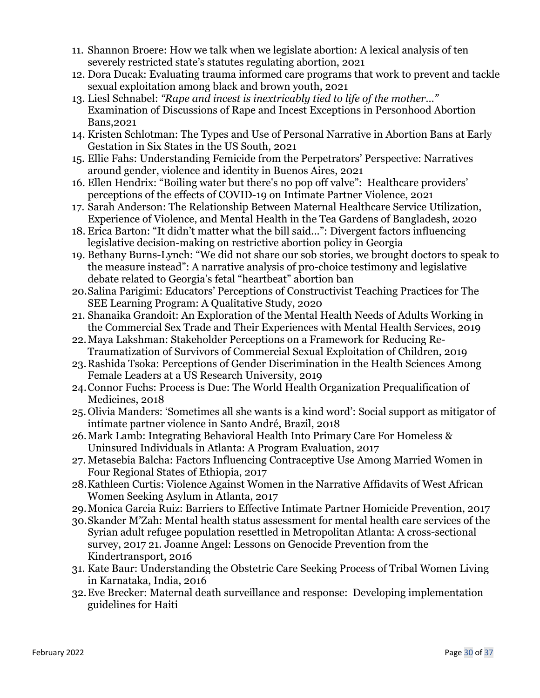- 11. Shannon Broere: How we talk when we legislate abortion: A lexical analysis of ten severely restricted state's statutes regulating abortion, 2021
- 12. Dora Ducak: Evaluating trauma informed care programs that work to prevent and tackle sexual exploitation among black and brown youth, 2021
- 13. Liesl Schnabel: *"Rape and incest is inextricably tied to life of the mother…"* Examination of Discussions of Rape and Incest Exceptions in Personhood Abortion Bans,2021
- 14. Kristen Schlotman: The Types and Use of Personal Narrative in Abortion Bans at Early Gestation in Six States in the US South, 2021
- 15. Ellie Fahs: Understanding Femicide from the Perpetrators' Perspective: Narratives around gender, violence and identity in Buenos Aires, 2021
- 16. Ellen Hendrix: "Boiling water but there's no pop off valve": Healthcare providers' perceptions of the effects of COVID-19 on Intimate Partner Violence, 2021
- 17. Sarah Anderson: The Relationship Between Maternal Healthcare Service Utilization, Experience of Violence, and Mental Health in the Tea Gardens of Bangladesh, 2020
- 18. Erica Barton: "It didn't matter what the bill said...": Divergent factors influencing legislative decision-making on restrictive abortion policy in Georgia
- 19. Bethany Burns-Lynch: "We did not share our sob stories, we brought doctors to speak to the measure instead": A narrative analysis of pro-choice testimony and legislative debate related to Georgia's fetal "heartbeat" abortion ban
- 20.Salina Parigimi: Educators' Perceptions of Constructivist Teaching Practices for The SEE Learning Program: A Qualitative Study, 2020
- 21. Shanaika Grandoit: An Exploration of the Mental Health Needs of Adults Working in the Commercial Sex Trade and Their Experiences with Mental Health Services, 2019
- 22.Maya Lakshman: Stakeholder Perceptions on a Framework for Reducing Re-Traumatization of Survivors of Commercial Sexual Exploitation of Children, 2019
- 23.Rashida Tsoka: Perceptions of Gender Discrimination in the Health Sciences Among Female Leaders at a US Research University, 2019
- 24.Connor Fuchs: Process is Due: The World Health Organization Prequalification of Medicines, 2018
- 25.Olivia Manders: 'Sometimes all she wants is a kind word': Social support as mitigator of intimate partner violence in Santo André, Brazil, 2018
- 26.Mark Lamb: Integrating Behavioral Health Into Primary Care For Homeless & Uninsured Individuals in Atlanta: A Program Evaluation, 2017
- 27. Metasebia Balcha: Factors Influencing Contraceptive Use Among Married Women in Four Regional States of Ethiopia, 2017
- 28.Kathleen Curtis: Violence Against Women in the Narrative Affidavits of West African Women Seeking Asylum in Atlanta, 2017
- 29.Monica Garcia Ruiz: Barriers to Effective Intimate Partner Homicide Prevention, 2017
- 30.Skander M'Zah: Mental health status assessment for mental health care services of the Syrian adult refugee population resettled in Metropolitan Atlanta: A cross-sectional survey, 2017 21. Joanne Angel: Lessons on Genocide Prevention from the Kindertransport, 2016
- 31. Kate Baur: Understanding the Obstetric Care Seeking Process of Tribal Women Living in Karnataka, India, 2016
- 32.Eve Brecker: Maternal death surveillance and response: Developing implementation guidelines for Haiti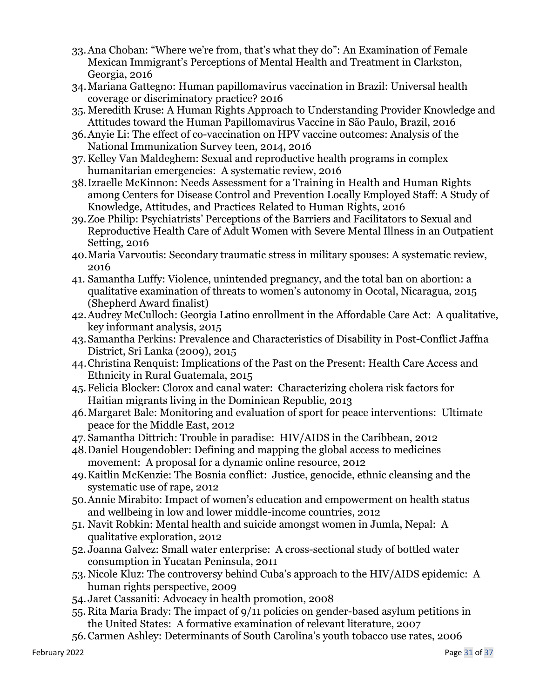- 33.Ana Choban: "Where we're from, that's what they do": An Examination of Female Mexican Immigrant's Perceptions of Mental Health and Treatment in Clarkston, Georgia, 2016
- 34.Mariana Gattegno: Human papillomavirus vaccination in Brazil: Universal health coverage or discriminatory practice? 2016
- 35.Meredith Kruse: A Human Rights Approach to Understanding Provider Knowledge and Attitudes toward the Human Papillomavirus Vaccine in São Paulo, Brazil, 2016
- 36.Anyie Li: The effect of co-vaccination on HPV vaccine outcomes: Analysis of the National Immunization Survey teen, 2014, 2016
- 37. Kelley Van Maldeghem: Sexual and reproductive health programs in complex humanitarian emergencies: A systematic review, 2016
- 38.Izraelle McKinnon: Needs Assessment for a Training in Health and Human Rights among Centers for Disease Control and Prevention Locally Employed Staff: A Study of Knowledge, Attitudes, and Practices Related to Human Rights, 2016
- 39.Zoe Philip: Psychiatrists' Perceptions of the Barriers and Facilitators to Sexual and Reproductive Health Care of Adult Women with Severe Mental Illness in an Outpatient Setting, 2016
- 40.Maria Varvoutis: Secondary traumatic stress in military spouses: A systematic review, 2016
- 41. Samantha Luffy: Violence, unintended pregnancy, and the total ban on abortion: a qualitative examination of threats to women's autonomy in Ocotal, Nicaragua, 2015 (Shepherd Award finalist)
- 42.Audrey McCulloch: Georgia Latino enrollment in the Affordable Care Act: A qualitative, key informant analysis, 2015
- 43.Samantha Perkins: Prevalence and Characteristics of Disability in Post-Conflict Jaffna District, Sri Lanka (2009), 2015
- 44.Christina Renquist: Implications of the Past on the Present: Health Care Access and Ethnicity in Rural Guatemala, 2015
- 45.Felicia Blocker: Clorox and canal water: Characterizing cholera risk factors for Haitian migrants living in the Dominican Republic, 2013
- 46.Margaret Bale: Monitoring and evaluation of sport for peace interventions: Ultimate peace for the Middle East, 2012
- 47. Samantha Dittrich: Trouble in paradise: HIV/AIDS in the Caribbean, 2012
- 48.Daniel Hougendobler: Defining and mapping the global access to medicines movement: A proposal for a dynamic online resource, 2012
- 49.Kaitlin McKenzie: The Bosnia conflict: Justice, genocide, ethnic cleansing and the systematic use of rape, 2012
- 50.Annie Mirabito: Impact of women's education and empowerment on health status and wellbeing in low and lower middle-income countries, 2012
- 51. Navit Robkin: Mental health and suicide amongst women in Jumla, Nepal: A qualitative exploration, 2012
- 52. Joanna Galvez: Small water enterprise: A cross-sectional study of bottled water consumption in Yucatan Peninsula, 2011
- 53.Nicole Kluz: The controversy behind Cuba's approach to the HIV/AIDS epidemic: A human rights perspective, 2009
- 54. Jaret Cassaniti: Advocacy in health promotion, 2008
- 55. Rita Maria Brady: The impact of 9/11 policies on gender-based asylum petitions in the United States: A formative examination of relevant literature, 2007
- 56.Carmen Ashley: Determinants of South Carolina's youth tobacco use rates, 2006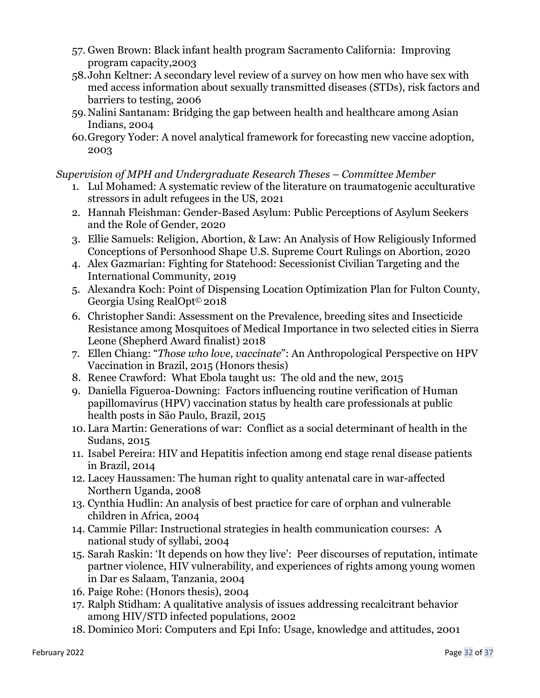- 57. Gwen Brown: Black infant health program Sacramento California: Improving program capacity,2003
- 58.John Keltner: A secondary level review of a survey on how men who have sex with med access information about sexually transmitted diseases (STDs), risk factors and barriers to testing, 2006
- 59.Nalini Santanam: Bridging the gap between health and healthcare among Asian Indians, 2004
- 60.Gregory Yoder: A novel analytical framework for forecasting new vaccine adoption, 2003

*Supervision of MPH and Undergraduate Research Theses – Committee Member*

- 1. Lul Mohamed: A systematic review of the literature on traumatogenic acculturative stressors in adult refugees in the US, 2021
- 2. Hannah Fleishman: Gender-Based Asylum: Public Perceptions of Asylum Seekers and the Role of Gender, 2020
- 3. Ellie Samuels: Religion, Abortion, & Law: An Analysis of How Religiously Informed Conceptions of Personhood Shape U.S. Supreme Court Rulings on Abortion, 2020
- 4. Alex Gazmarian: Fighting for Statehood: Secessionist Civilian Targeting and the International Community, 2019
- 5. Alexandra Koch: Point of Dispensing Location Optimization Plan for Fulton County, Georgia Using RealOpt© 2018
- 6. Christopher Sandi: Assessment on the Prevalence, breeding sites and Insecticide Resistance among Mosquitoes of Medical Importance in two selected cities in Sierra Leone (Shepherd Award finalist) 2018
- 7. Ellen Chiang: "*Those who love, vaccinate*": An Anthropological Perspective on HPV Vaccination in Brazil, 2015 (Honors thesis)
- 8. Renee Crawford: What Ebola taught us: The old and the new, 2015
- 9. Daniella Figueroa-Downing: Factors influencing routine verification of Human papillomavirus (HPV) vaccination status by health care professionals at public health posts in São Paulo, Brazil, 2015
- 10. Lara Martin: Generations of war: Conflict as a social determinant of health in the Sudans, 2015
- 11. Isabel Pereira: HIV and Hepatitis infection among end stage renal disease patients in Brazil, 2014
- 12. Lacey Haussamen: The human right to quality antenatal care in war-affected Northern Uganda, 2008
- 13. Cynthia Hudlin: An analysis of best practice for care of orphan and vulnerable children in Africa, 2004
- 14. Cammie Pillar: Instructional strategies in health communication courses: A national study of syllabi, 2004
- 15. Sarah Raskin: 'It depends on how they live': Peer discourses of reputation, intimate partner violence, HIV vulnerability, and experiences of rights among young women in Dar es Salaam, Tanzania, 2004
- 16. Paige Rohe: (Honors thesis), 2004
- 17. Ralph Stidham: A qualitative analysis of issues addressing recalcitrant behavior among HIV/STD infected populations, 2002
- 18. Dominico Mori: Computers and Epi Info: Usage, knowledge and attitudes, 2001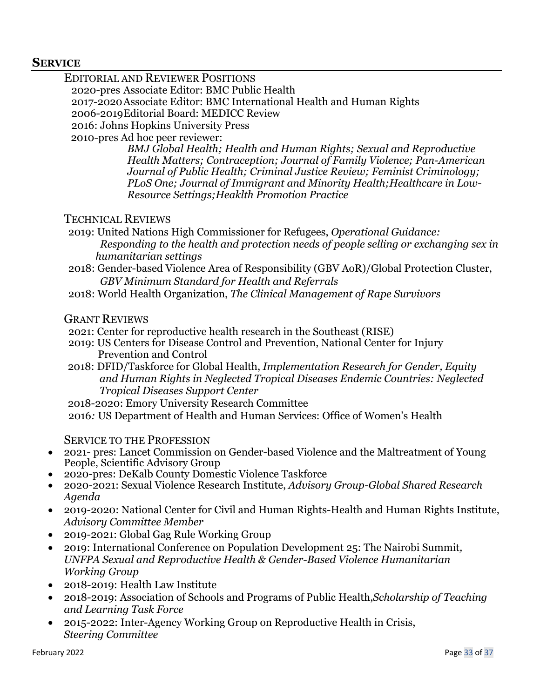#### **SERVICE**

EDITORIAL AND REVIEWER POSITIONS 2020-pres Associate Editor: BMC Public Health 2017-2020Associate Editor: BMC International Health and Human Rights 2006-2019Editorial Board: MEDICC Review 2016: Johns Hopkins University Press 2010-pres Ad hoc peer reviewer: *BMJ Global Health; Health and Human Rights; Sexual and Reproductive Health Matters; Contraception; Journal of Family Violence; Pan-American Journal of Public Health; Criminal Justice Review; Feminist Criminology; PLoS One; Journal of Immigrant and Minority Health;Healthcare in Low-*

#### TECHNICAL REVIEWS

- 2019: United Nations High Commissioner for Refugees, *Operational Guidance: Responding to the health and protection needs of people selling or exchanging sex in humanitarian settings*
- 2018: Gender-based Violence Area of Responsibility (GBV AoR)/Global Protection Cluster, *GBV Minimum Standard for Health and Referrals*
- 2018: World Health Organization, *The Clinical Management of Rape Survivors*

#### GRANT REVIEWS

2021: Center for reproductive health research in the Southeast (RISE)

*Resource Settings;Heaklth Promotion Practice* 

- 2019: US Centers for Disease Control and Prevention, National Center for Injury Prevention and Control
- 2018: DFID/Taskforce for Global Health, *Implementation Research for Gender, Equity and Human Rights in Neglected Tropical Diseases Endemic Countries: Neglected Tropical Diseases Support Center*
- 2018-2020: Emory University Research Committee

2016*:* US Department of Health and Human Services: Office of Women's Health

#### SERVICE TO THE PROFESSION

- 2021- pres: Lancet Commission on Gender-based Violence and the Maltreatment of Young People, Scientific Advisory Group
- 2020-pres: DeKalb County Domestic Violence Taskforce
- 2020-2021: Sexual Violence Research Institute, *Advisory Group-Global Shared Research Agenda*
- 2019-2020: National Center for Civil and Human Rights-Health and Human Rights Institute, *Advisory Committee Member*
- 2019-2021: Global Gag Rule Working Group
- 2019: International Conference on Population Development 25: The Nairobi Summit*, UNFPA Sexual and Reproductive Health & Gender-Based Violence Humanitarian Working Group*
- 2018-2019: Health Law Institute
- 2018-2019: Association of Schools and Programs of Public Health,*Scholarship of Teaching and Learning Task Force*
- 2015-2022: Inter-Agency Working Group on Reproductive Health in Crisis, *Steering Committee*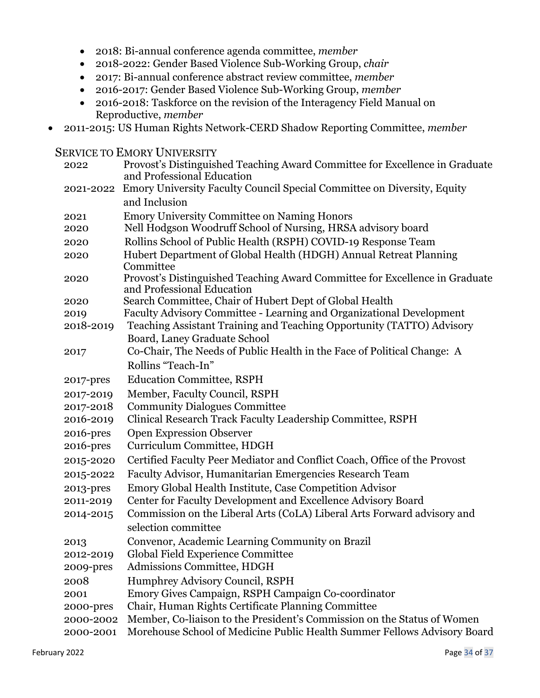- 2018: Bi-annual conference agenda committee, *member*
- 2018-2022: Gender Based Violence Sub-Working Group, *chair*
- 2017: Bi-annual conference abstract review committee, *member*
- 2016-2017: Gender Based Violence Sub-Working Group, *member*
- 2016-2018: Taskforce on the revision of the Interagency Field Manual on Reproductive, *member*
- 2011-2015: US Human Rights Network-CERD Shadow Reporting Committee, *member*

#### **SERVICE TO EMORY UNIVERSITY**

| 2022         | Provost's Distinguished Teaching Award Committee for Excellence in Graduate<br>and Professional Education |
|--------------|-----------------------------------------------------------------------------------------------------------|
| 2021-2022    | Emory University Faculty Council Special Committee on Diversity, Equity                                   |
|              | and Inclusion                                                                                             |
| 2021         | <b>Emory University Committee on Naming Honors</b>                                                        |
| 2020         | Nell Hodgson Woodruff School of Nursing, HRSA advisory board                                              |
| 2020         | Rollins School of Public Health (RSPH) COVID-19 Response Team                                             |
| 2020         | Hubert Department of Global Health (HDGH) Annual Retreat Planning<br>Committee                            |
| 2020         | Provost's Distinguished Teaching Award Committee for Excellence in Graduate<br>and Professional Education |
| 2020         | Search Committee, Chair of Hubert Dept of Global Health                                                   |
| 2019         | Faculty Advisory Committee - Learning and Organizational Development                                      |
| 2018-2019    | Teaching Assistant Training and Teaching Opportunity (TATTO) Advisory                                     |
|              | Board, Laney Graduate School                                                                              |
| 2017         | Co-Chair, The Needs of Public Health in the Face of Political Change: A                                   |
|              | Rollins "Teach-In"                                                                                        |
| 2017-pres    | <b>Education Committee, RSPH</b>                                                                          |
| 2017-2019    | Member, Faculty Council, RSPH                                                                             |
| 2017-2018    | <b>Community Dialogues Committee</b>                                                                      |
| 2016-2019    | Clinical Research Track Faculty Leadership Committee, RSPH                                                |
| 2016-pres    | <b>Open Expression Observer</b>                                                                           |
| $2016$ -pres | Curriculum Committee, HDGH                                                                                |
| 2015-2020    | Certified Faculty Peer Mediator and Conflict Coach, Office of the Provost                                 |
| 2015-2022    | Faculty Advisor, Humanitarian Emergencies Research Team                                                   |
| 2013-pres    | Emory Global Health Institute, Case Competition Advisor                                                   |
| 2011-2019    | Center for Faculty Development and Excellence Advisory Board                                              |
| 2014-2015    | Commission on the Liberal Arts (CoLA) Liberal Arts Forward advisory and                                   |
|              | selection committee                                                                                       |
| 2013         | Convenor, Academic Learning Community on Brazil                                                           |
| 2012-2019    | Global Field Experience Committee                                                                         |
| 2009-pres    | Admissions Committee, HDGH                                                                                |
| 2008         | Humphrey Advisory Council, RSPH                                                                           |
| 2001         | Emory Gives Campaign, RSPH Campaign Co-coordinator                                                        |
| 2000-pres    | Chair, Human Rights Certificate Planning Committee                                                        |
| 2000-2002    | Member, Co-liaison to the President's Commission on the Status of Women                                   |
| 2000-2001    | Morehouse School of Medicine Public Health Summer Fellows Advisory Board                                  |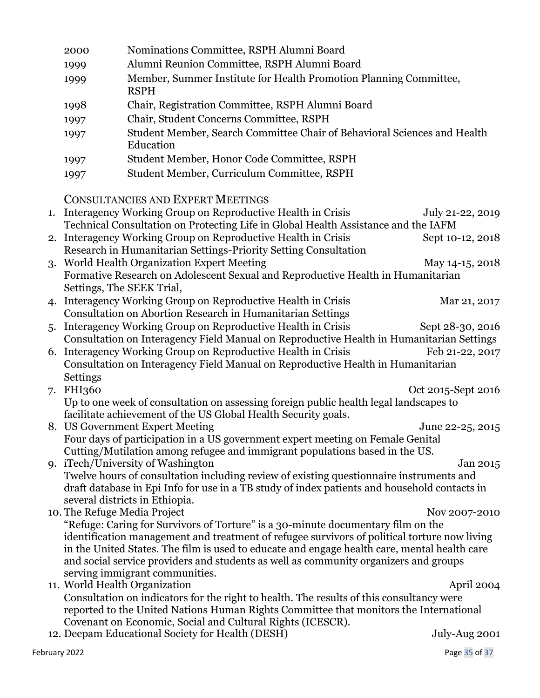|               | 2000          | Nominations Committee, RSPH Alumni Board                                                     |                    |
|---------------|---------------|----------------------------------------------------------------------------------------------|--------------------|
|               | 1999          | Alumni Reunion Committee, RSPH Alumni Board                                                  |                    |
|               | 1999          | Member, Summer Institute for Health Promotion Planning Committee,<br><b>RSPH</b>             |                    |
|               | 1998          | Chair, Registration Committee, RSPH Alumni Board                                             |                    |
|               | 1997          | Chair, Student Concerns Committee, RSPH                                                      |                    |
|               |               |                                                                                              |                    |
|               | 1997          | Student Member, Search Committee Chair of Behavioral Sciences and Health<br>Education        |                    |
|               | 1997          | Student Member, Honor Code Committee, RSPH                                                   |                    |
|               | 1997          | Student Member, Curriculum Committee, RSPH                                                   |                    |
|               |               | <b>CONSULTANCIES AND EXPERT MEETINGS</b>                                                     |                    |
| 1.            |               | Interagency Working Group on Reproductive Health in Crisis                                   | July 21-22, 2019   |
|               |               | Technical Consultation on Protecting Life in Global Health Assistance and the IAFM           |                    |
|               |               | 2. Interagency Working Group on Reproductive Health in Crisis                                | Sept 10-12, 2018   |
|               |               | Research in Humanitarian Settings-Priority Setting Consultation                              |                    |
|               |               | 3. World Health Organization Expert Meeting                                                  | May 14-15, 2018    |
|               |               | Formative Research on Adolescent Sexual and Reproductive Health in Humanitarian              |                    |
|               |               | Settings, The SEEK Trial,                                                                    |                    |
|               |               | Interagency Working Group on Reproductive Health in Crisis                                   | Mar 21, 2017       |
|               |               | Consultation on Abortion Research in Humanitarian Settings                                   |                    |
|               |               | 5. Interagency Working Group on Reproductive Health in Crisis                                | Sept 28-30, 2016   |
|               |               | Consultation on Interagency Field Manual on Reproductive Health in Humanitarian Settings     |                    |
|               |               | 6. Interagency Working Group on Reproductive Health in Crisis                                | Feb 21-22, 2017    |
|               |               | Consultation on Interagency Field Manual on Reproductive Health in Humanitarian              |                    |
|               | Settings      |                                                                                              |                    |
| 7.            | <b>FHI360</b> |                                                                                              | Oct 2015-Sept 2016 |
|               |               | Up to one week of consultation on assessing foreign public health legal landscapes to        |                    |
|               |               | facilitate achievement of the US Global Health Security goals.                               |                    |
|               |               | 8. US Government Expert Meeting                                                              | June 22-25, 2015   |
|               |               | Four days of participation in a US government expert meeting on Female Genital               |                    |
|               |               | Cutting/Mutilation among refugee and immigrant populations based in the US.                  |                    |
|               |               | 9. iTech/University of Washington                                                            | Jan 2015           |
|               |               | Twelve hours of consultation including review of existing questionnaire instruments and      |                    |
|               |               | draft database in Epi Info for use in a TB study of index patients and household contacts in |                    |
|               |               | several districts in Ethiopia.                                                               |                    |
|               |               | 10. The Refuge Media Project                                                                 | Nov 2007-2010      |
|               |               | "Refuge: Caring for Survivors of Torture" is a 30-minute documentary film on the             |                    |
|               |               | identification management and treatment of refugee survivors of political torture now living |                    |
|               |               | in the United States. The film is used to educate and engage health care, mental health care |                    |
|               |               | and social service providers and students as well as community organizers and groups         |                    |
|               |               | serving immigrant communities.                                                               |                    |
|               |               | 11. World Health Organization                                                                | April 2004         |
|               |               | Consultation on indicators for the right to health. The results of this consultancy were     |                    |
|               |               | reported to the United Nations Human Rights Committee that monitors the International        |                    |
|               |               | Covenant on Economic, Social and Cultural Rights (ICESCR).                                   |                    |
|               |               | 12. Deepam Educational Society for Health (DESH)                                             | July-Aug 2001      |
| February 2022 |               |                                                                                              | Page 35 of 37      |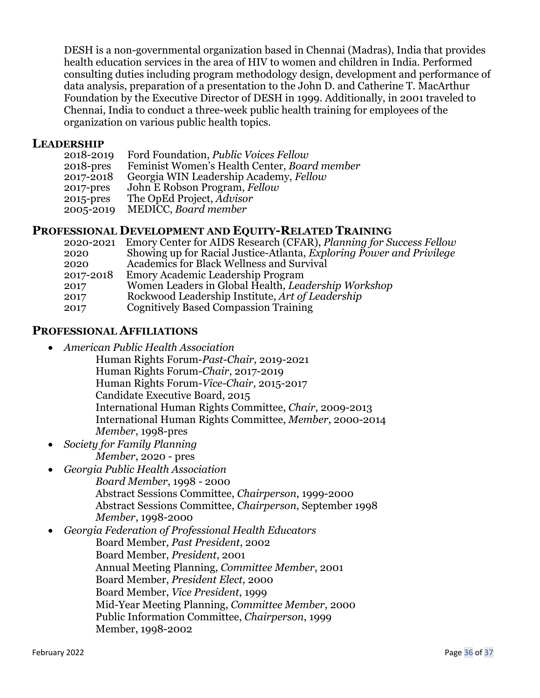DESH is a non-governmental organization based in Chennai (Madras), India that provides health education services in the area of HIV to women and children in India. Performed consulting duties including program methodology design, development and performance of data analysis, preparation of a presentation to the John D. and Catherine T. MacArthur Foundation by the Executive Director of DESH in 1999. Additionally, in 2001 traveled to Chennai, India to conduct a three-week public health training for employees of the organization on various public health topics.

#### **LEADERSHIP**

| 2018-2019    | Ford Foundation, <i>Public Voices Fellow</i> |
|--------------|----------------------------------------------|
| $2018$ -pres | Feminist Women's Health Center, Board member |
| 2017-2018    | Georgia WIN Leadership Academy, Fellow       |
| 2017-pres    | John E Robson Program, Fellow                |
| 2015-pres    | The OpEd Project, Advisor                    |
| 2005-2019    | MEDICC, Board member                         |

## **PROFESSIONAL DEVELOPMENT AND EQUITY-RELATED TRAINING**

|           | 2020-2021 Emory Center for AIDS Research (CFAR), Planning for Success Fellow |
|-----------|------------------------------------------------------------------------------|
| 2020      | Showing up for Racial Justice-Atlanta, Exploring Power and Privilege         |
| 2020      | Academics for Black Wellness and Survival                                    |
| 2017-2018 | Emory Academic Leadership Program                                            |
| 2017      | Women Leaders in Global Health, Leadership Workshop                          |
| 2017      | Rockwood Leadership Institute, Art of Leadership                             |
| 2017      | <b>Cognitively Based Compassion Training</b>                                 |

## **PROFESSIONAL AFFILIATIONS**

- *American Public Health Association*
	- Human Rights Forum-*Past-Chair*, 2019-2021 Human Rights Forum-*Chair*, 2017-2019 Human Rights Forum-*Vice-Chair*, 2015-2017 Candidate Executive Board, 2015 International Human Rights Committee, *Chair*, 2009-2013 International Human Rights Committee, *Member*, 2000-2014 *Member*, 1998-pres
- *Society for Family Planning Member*, 2020 - pres
- *Georgia Public Health Association Board Member*, 1998 - 2000 Abstract Sessions Committee, *Chairperson*, 1999-2000 Abstract Sessions Committee, *Chairperson*, September 1998 *Member*, 1998-2000
- *Georgia Federation of Professional Health Educators*  Board Member, *Past President*, 2002 Board Member, *President*, 2001 Annual Meeting Planning, *Committee Member*, 2001 Board Member, *President Elect*, 2000 Board Member, *Vice President*, 1999 Mid-Year Meeting Planning, *Committee Member*, 2000 Public Information Committee, *Chairperson*, 1999 Member, 1998-2002